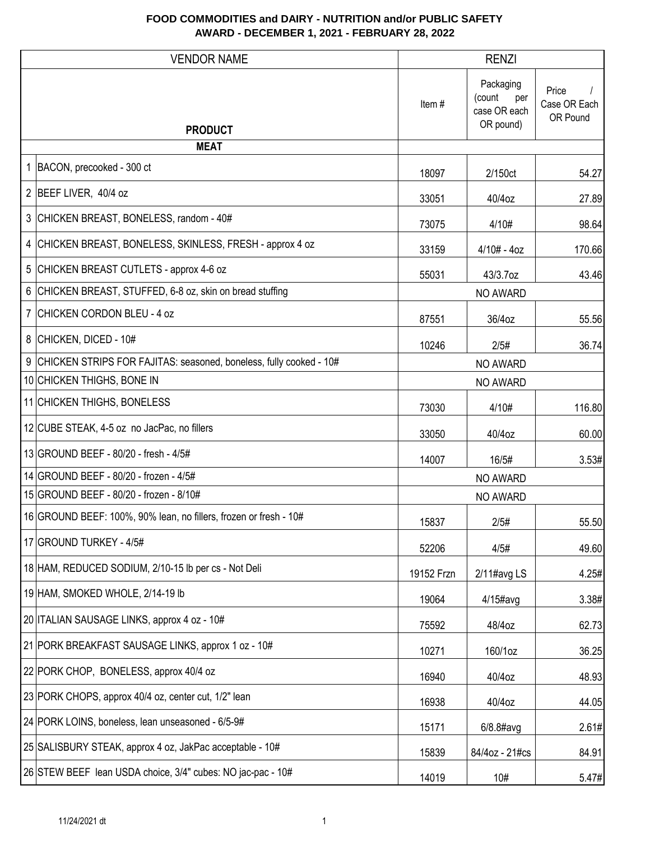| <b>VENDOR NAME</b>                                                   |            | <b>RENZI</b>                                            |                                   |
|----------------------------------------------------------------------|------------|---------------------------------------------------------|-----------------------------------|
| <b>PRODUCT</b>                                                       | Item#      | Packaging<br>(count<br>per<br>case OR each<br>OR pound) | Price<br>Case OR Each<br>OR Pound |
| <b>MEAT</b>                                                          |            |                                                         |                                   |
| 1 BACON, precooked - 300 ct                                          | 18097      | 2/150ct                                                 | 54.27                             |
| 2 BEEF LIVER, 40/4 oz                                                | 33051      | 40/4oz                                                  | 27.89                             |
| 3 CHICKEN BREAST, BONELESS, random - 40#                             | 73075      | 4/10#                                                   | 98.64                             |
| 4 CHICKEN BREAST, BONELESS, SKINLESS, FRESH - approx 4 oz            | 33159      | $4/10# - 4oz$                                           | 170.66                            |
| 5 CHICKEN BREAST CUTLETS - approx 4-6 oz                             | 55031      | 43/3.7oz                                                | 43.46                             |
| 6 CHICKEN BREAST, STUFFED, 6-8 oz, skin on bread stuffing            |            | NO AWARD                                                |                                   |
| 7 CHICKEN CORDON BLEU - 4 oz                                         | 87551      | 36/4oz                                                  | 55.56                             |
| 8 CHICKEN, DICED - 10#                                               | 10246      | 2/5#                                                    | 36.74                             |
| 9 CHICKEN STRIPS FOR FAJITAS: seasoned, boneless, fully cooked - 10# |            | NO AWARD                                                |                                   |
| 10 CHICKEN THIGHS, BONE IN                                           |            | NO AWARD                                                |                                   |
| 11 CHICKEN THIGHS, BONELESS                                          | 73030      | 4/10#                                                   | 116.80                            |
| 12 CUBE STEAK, 4-5 oz no JacPac, no fillers                          | 33050      | 40/4oz                                                  | 60.00                             |
| 13 GROUND BEEF - 80/20 - fresh - 4/5#                                | 14007      | 16/5#                                                   | 3.53#                             |
| 14 GROUND BEEF - 80/20 - frozen - 4/5#                               |            | NO AWARD                                                |                                   |
| 15 GROUND BEEF - 80/20 - frozen - 8/10#                              |            | NO AWARD                                                |                                   |
| 16 GROUND BEEF: 100%, 90% lean, no fillers, frozen or fresh - 10#    | 15837      | 2/5#                                                    | 55.50                             |
| 17 GROUND TURKEY - 4/5#                                              | 52206      | 4/5#                                                    | 49.60                             |
| 18 HAM, REDUCED SODIUM, 2/10-15 lb per cs - Not Deli                 | 19152 Frzn | 2/11#avg LS                                             | 4.25#                             |
| 19 HAM, SMOKED WHOLE, 2/14-19 lb                                     | 19064      | 4/15#avg                                                | 3.38#                             |
| 20 ITALIAN SAUSAGE LINKS, approx 4 oz - 10#                          | 75592      | 48/4oz                                                  | 62.73                             |
| 21 PORK BREAKFAST SAUSAGE LINKS, approx 1 oz - 10#                   | 10271      | 160/1oz                                                 | 36.25                             |
| 22 PORK CHOP, BONELESS, approx 40/4 oz                               | 16940      | 40/4oz                                                  | 48.93                             |
| 23 PORK CHOPS, approx 40/4 oz, center cut, 1/2" lean                 | 16938      | 40/4oz                                                  | 44.05                             |
| 24 PORK LOINS, boneless, lean unseasoned - 6/5-9#                    | 15171      | $6/8.8$ #avg                                            | 2.61#                             |
| 25 SALISBURY STEAK, approx 4 oz, JakPac acceptable - 10#             | 15839      | 84/4oz - 21#cs                                          | 84.91                             |
| 26 STEW BEEF lean USDA choice, 3/4" cubes: NO jac-pac - 10#          | 14019      | 10#                                                     | 5.47#                             |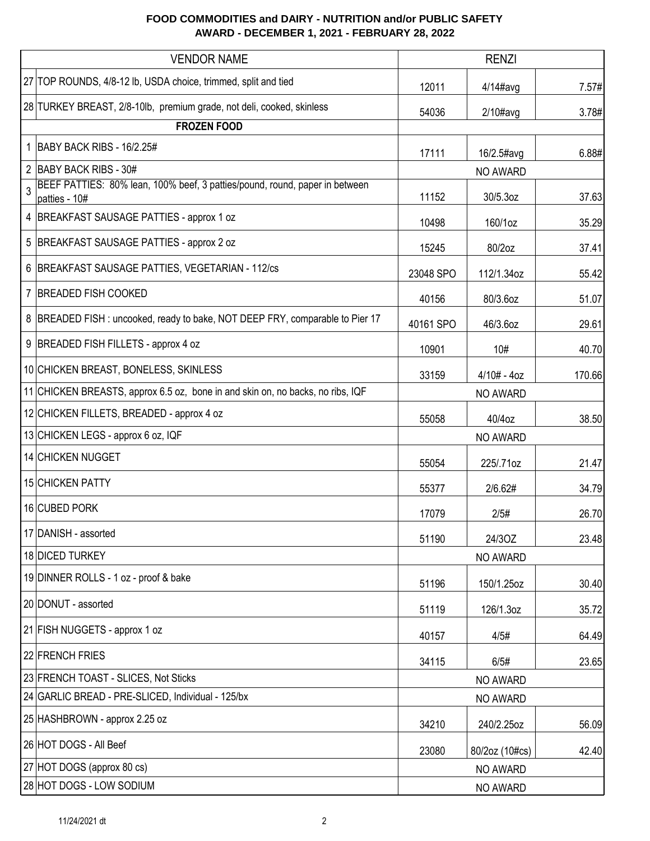|   | <b>VENDOR NAME</b>                                                                           |           | <b>RENZI</b>    |        |
|---|----------------------------------------------------------------------------------------------|-----------|-----------------|--------|
|   | 27 TOP ROUNDS, 4/8-12 lb, USDA choice, trimmed, split and tied                               | 12011     | $4/14$ #avg     | 7.57#  |
|   | 28 TURKEY BREAST, 2/8-10lb, premium grade, not deli, cooked, skinless                        | 54036     | $2/10\#avg$     | 3.78#  |
|   | <b>FROZEN FOOD</b>                                                                           |           |                 |        |
|   | 1   BABY BACK RIBS - 16/2.25#                                                                | 17111     | 16/2.5#avg      | 6.88#  |
|   | 2 BABY BACK RIBS - 30#                                                                       |           | NO AWARD        |        |
| 3 | BEEF PATTIES: 80% lean, 100% beef, 3 patties/pound, round, paper in between<br>patties - 10# | 11152     | 30/5.3oz        | 37.63  |
|   | 4 BREAKFAST SAUSAGE PATTIES - approx 1 oz                                                    | 10498     | 160/1oz         | 35.29  |
| 5 | BREAKFAST SAUSAGE PATTIES - approx 2 oz                                                      | 15245     | 80/2oz          | 37.41  |
| 6 | BREAKFAST SAUSAGE PATTIES, VEGETARIAN - 112/cs                                               | 23048 SPO | 112/1.34oz      | 55.42  |
| 7 | <b>BREADED FISH COOKED</b>                                                                   | 40156     | 80/3.6oz        | 51.07  |
|   | 8 BREADED FISH: uncooked, ready to bake, NOT DEEP FRY, comparable to Pier 17                 | 40161 SPO | 46/3.6oz        | 29.61  |
| 9 | BREADED FISH FILLETS - approx 4 oz                                                           | 10901     | 10#             | 40.70  |
|   | 10 CHICKEN BREAST, BONELESS, SKINLESS                                                        | 33159     | $4/10# - 4oz$   | 170.66 |
|   | 11 CHICKEN BREASTS, approx 6.5 oz, bone in and skin on, no backs, no ribs, IQF               | NO AWARD  |                 |        |
|   | 12 CHICKEN FILLETS, BREADED - approx 4 oz                                                    | 55058     | 40/4oz          | 38.50  |
|   | 13 CHICKEN LEGS - approx 6 oz, IQF                                                           |           | <b>NO AWARD</b> |        |
|   | 14 CHICKEN NUGGET                                                                            | 55054     | 225/.71oz       | 21.47  |
|   | 15 CHICKEN PATTY                                                                             | 55377     | 2/6.62#         | 34.79  |
|   | 16 CUBED PORK                                                                                | 17079     | 2/5#            | 26.70  |
|   | 17 DANISH - assorted                                                                         | 51190     | 24/3OZ          | 23.48  |
|   | 18 DICED TURKEY                                                                              |           | NO AWARD        |        |
|   | 19 DINNER ROLLS - 1 oz - proof & bake                                                        | 51196     | 150/1.25oz      | 30.40  |
|   | 20 DONUT - assorted                                                                          | 51119     | 126/1.3oz       | 35.72  |
|   | 21 FISH NUGGETS - approx 1 oz                                                                | 40157     | 4/5#            | 64.49  |
|   | 22 FRENCH FRIES                                                                              | 34115     | 6/5#            | 23.65  |
|   | 23 FRENCH TOAST - SLICES, Not Sticks                                                         |           | NO AWARD        |        |
|   | 24 GARLIC BREAD - PRE-SLICED, Individual - 125/bx                                            |           | NO AWARD        |        |
|   | 25 HASHBROWN - approx 2.25 oz                                                                | 34210     | 240/2.25oz      | 56.09  |
|   | 26 HOT DOGS - All Beef                                                                       | 23080     | 80/2oz (10#cs)  | 42.40  |
|   | 27 HOT DOGS (approx 80 cs)                                                                   |           | NO AWARD        |        |
|   | 28 HOT DOGS - LOW SODIUM                                                                     | NO AWARD  |                 |        |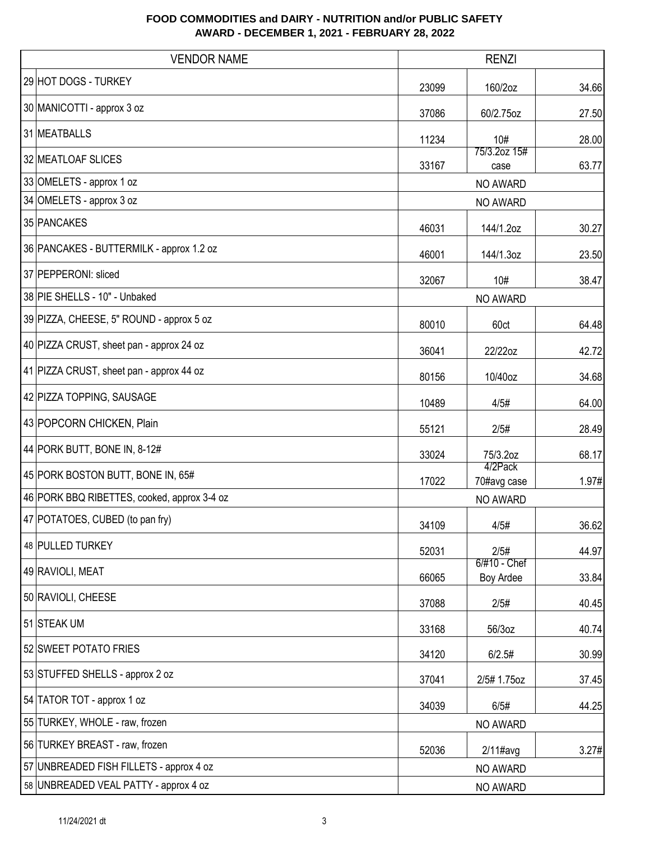| <b>VENDOR NAME</b>                          | <b>RENZI</b> |                           |       |
|---------------------------------------------|--------------|---------------------------|-------|
| 29 HOT DOGS - TURKEY                        | 23099        | 160/2oz                   | 34.66 |
| 30 MANICOTTI - approx 3 oz                  | 37086        | 60/2.75oz                 | 27.50 |
| 31 MEATBALLS                                | 11234        | 10#                       | 28.00 |
| 32 MEATLOAF SLICES                          | 33167        | 75/3.2oz 15#<br>case      | 63.77 |
| 33 OMELETS - approx 1 oz                    |              | NO AWARD                  |       |
| 34 OMELETS - approx 3 oz                    |              | NO AWARD                  |       |
| 35 PANCAKES                                 | 46031        | 144/1.2oz                 | 30.27 |
| 36 PANCAKES - BUTTERMILK - approx 1.2 oz    | 46001        | 144/1.3oz                 | 23.50 |
| 37 PEPPERONI: sliced                        | 32067        | 10#                       | 38.47 |
| 38 PIE SHELLS - 10" - Unbaked               |              | NO AWARD                  |       |
| 39 PIZZA, CHEESE, 5" ROUND - approx 5 oz    | 80010        | 60ct                      | 64.48 |
| 40 PIZZA CRUST, sheet pan - approx 24 oz    | 36041        | 22/22oz                   | 42.72 |
| 41 PIZZA CRUST, sheet pan - approx 44 oz    | 80156        | 10/40oz                   | 34.68 |
| 42 PIZZA TOPPING, SAUSAGE                   | 10489        | 4/5#                      | 64.00 |
| 43 POPCORN CHICKEN, Plain                   | 55121        | 2/5#                      | 28.49 |
| 44 PORK BUTT, BONE IN, 8-12#                | 33024        | 75/3.2oz                  | 68.17 |
| 45 PORK BOSTON BUTT, BONE IN, 65#           | 17022        | 4/2Pack<br>70#avg case    | 1.97# |
| 46 PORK BBQ RIBETTES, cooked, approx 3-4 oz |              | NO AWARD                  |       |
| 47 POTATOES, CUBED (to pan fry)             | 34109        | 4/5#                      | 36.62 |
| 48 PULLED TURKEY                            | 52031        | 2/5#                      | 44.97 |
| 49 RAVIOLI, MEAT                            | 66065        | 6/#10 - Chef<br>Boy Ardee | 33.84 |
| 50 RAVIOLI, CHEESE                          | 37088        | 2/5#                      | 40.45 |
| 51 STEAK UM                                 | 33168        | 56/3oz                    | 40.74 |
| 52 SWEET POTATO FRIES                       | 34120        | 6/2.5#                    | 30.99 |
| 53 STUFFED SHELLS - approx 2 oz             | 37041        | 2/5# 1.75oz               | 37.45 |
| 54 TATOR TOT - approx 1 oz                  | 34039        | 6/5#                      | 44.25 |
| 55 TURKEY, WHOLE - raw, frozen              |              | NO AWARD                  |       |
| 56 TURKEY BREAST - raw, frozen              | 52036        | $2/11$ #avg               | 3.27# |
| 57 UNBREADED FISH FILLETS - approx 4 oz     |              | NO AWARD                  |       |
| 58 UNBREADED VEAL PATTY - approx 4 oz       | NO AWARD     |                           |       |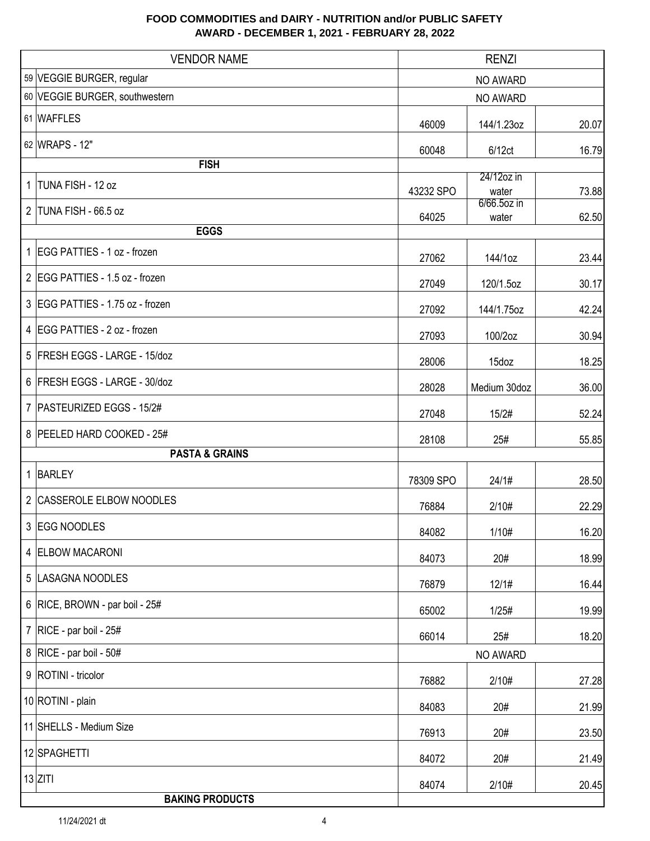| <b>VENDOR NAME</b>               | <b>RENZI</b> |                         |       |
|----------------------------------|--------------|-------------------------|-------|
| 59 VEGGIE BURGER, regular        | NO AWARD     |                         |       |
| 60 VEGGIE BURGER, southwestern   | NO AWARD     |                         |       |
| 61 WAFFLES                       | 46009        | 144/1.23oz              | 20.07 |
| 62 WRAPS - 12"                   | 60048        | 6/12ct                  | 16.79 |
| <b>FISH</b>                      |              | 24/12oz in              |       |
| 1 TUNA FISH - 12 oz              | 43232 SPO    | water                   | 73.88 |
| 2 TUNA FISH - 66.5 oz            | 64025        | $6/66.5$ oz in<br>water | 62.50 |
| <b>EGGS</b>                      |              |                         |       |
| 1 EGG PATTIES - 1 oz - frozen    | 27062        | 144/1oz                 | 23.44 |
| 2 EGG PATTIES - 1.5 oz - frozen  | 27049        | 120/1.5oz               | 30.17 |
| 3 EGG PATTIES - 1.75 oz - frozen | 27092        | 144/1.75oz              | 42.24 |
| 4 EGG PATTIES - 2 oz - frozen    | 27093        | 100/2oz                 | 30.94 |
| 5 FRESH EGGS - LARGE - 15/doz    | 28006        | 15doz                   | 18.25 |
| 6 FRESH EGGS - LARGE - 30/doz    | 28028        | Medium 30doz            | 36.00 |
| 7   PASTEURIZED EGGS - 15/2#     | 27048        | 15/2#                   | 52.24 |
| 8 PEELED HARD COOKED - 25#       | 28108        | 25#                     | 55.85 |
| <b>PASTA &amp; GRAINS</b>        |              |                         |       |
| 1 BARLEY                         | 78309 SPO    | 24/1#                   | 28.50 |
| 2 CASSEROLE ELBOW NOODLES        | 76884        | 2/10#                   | 22.29 |
| 3 EGG NOODLES                    | 84082        | 1/10#                   | 16.20 |
| 4 ELBOW MACARONI                 | 84073        | 20#                     | 18.99 |
| 5 LASAGNA NOODLES                | 76879        | 12/1#                   | 16.44 |
| 6 RICE, BROWN - par boil - 25#   | 65002        | 1/25#                   | 19.99 |
| 7   RICE - par boil - $25#$      | 66014        | 25#                     | 18.20 |
| 8   RICE - par boil - $50#$      |              | NO AWARD                |       |
| 9   ROTINI - tricolor            | 76882        | 2/10#                   | 27.28 |
| 10 ROTINI - plain                | 84083        | 20#                     | 21.99 |
| 11 SHELLS - Medium Size          | 76913        | 20#                     | 23.50 |
| 12 SPAGHETTI                     | 84072        | 20#                     | 21.49 |
| $13$ ZITI                        | 84074        | 2/10#                   | 20.45 |
| <b>BAKING PRODUCTS</b>           |              |                         |       |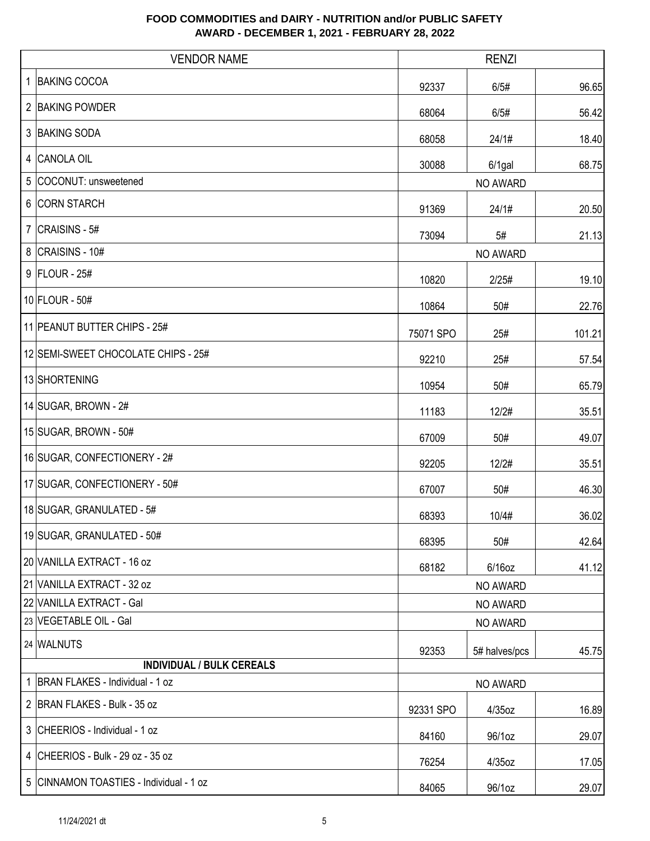|   | <b>VENDOR NAME</b>                      | <b>RENZI</b> |               |        |
|---|-----------------------------------------|--------------|---------------|--------|
|   | 1 BAKING COCOA                          | 92337        | 6/5#          | 96.65  |
|   | 2 BAKING POWDER                         | 68064        | 6/5#          | 56.42  |
|   | 3 BAKING SODA                           | 68058        | 24/1#         | 18.40  |
|   | 4 CANOLA OIL                            | 30088        | $6/1$ gal     | 68.75  |
| 5 | COCONUT: unsweetened                    |              | NO AWARD      |        |
|   | 6 CORN STARCH                           | 91369        | 24/1#         | 20.50  |
|   | $7$ CRAISINS - 5#                       | 73094        | 5#            | 21.13  |
|   | 8 CRAISINS - 10#                        |              | NO AWARD      |        |
|   | $9$ FLOUR - 25#                         | 10820        | 2/25#         | 19.10  |
|   | 10 FLOUR - 50#                          | 10864        | 50#           | 22.76  |
|   | 11 PEANUT BUTTER CHIPS - 25#            | 75071 SPO    | 25#           | 101.21 |
|   | 12 SEMI-SWEET CHOCOLATE CHIPS - 25#     | 92210        | 25#           | 57.54  |
|   | 13 SHORTENING                           | 10954        | 50#           | 65.79  |
|   | 14 SUGAR, BROWN - 2#                    | 11183        | 12/2#         | 35.51  |
|   | 15 SUGAR, BROWN - 50#                   | 67009        | 50#           | 49.07  |
|   | 16 SUGAR, CONFECTIONERY - 2#            | 92205        | 12/2#         | 35.51  |
|   | 17 SUGAR, CONFECTIONERY - 50#           | 67007        | 50#           | 46.30  |
|   | 18 SUGAR, GRANULATED - 5#               | 68393        | 10/4#         | 36.02  |
|   | 19 SUGAR, GRANULATED - 50#              | 68395        | 50#           | 42.64  |
|   | 20 VANILLA EXTRACT - 16 oz              | 68182        | $6/16$ oz     | 41.12  |
|   | 21 VANILLA EXTRACT - 32 oz              |              | NO AWARD      |        |
|   | 22 VANILLA EXTRACT - Gal                |              | NO AWARD      |        |
|   | 23 VEGETABLE OIL - Gal                  |              | NO AWARD      |        |
|   | 24 WALNUTS                              | 92353        | 5# halves/pcs | 45.75  |
|   | <b>INDIVIDUAL / BULK CEREALS</b>        |              |               |        |
|   | 1   BRAN FLAKES - Individual - 1 oz     |              | NO AWARD      |        |
|   | 2 BRAN FLAKES - Bulk - 35 oz            | 92331 SPO    | 4/35oz        | 16.89  |
|   | 3 CHEERIOS - Individual - 1 oz          | 84160        | 96/1oz        | 29.07  |
|   | 4 CHEERIOS - Bulk - 29 oz - 35 oz       | 76254        | $4/35$ oz     | 17.05  |
|   | 5 CINNAMON TOASTIES - Individual - 1 oz | 84065        | 96/1oz        | 29.07  |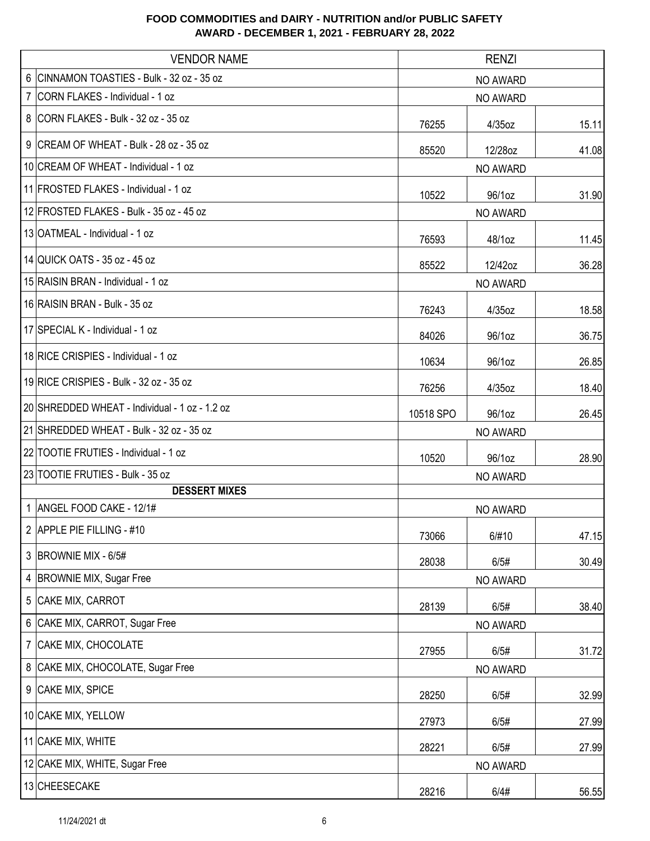| <b>VENDOR NAME</b>                             | <b>RENZI</b>                |           |       |
|------------------------------------------------|-----------------------------|-----------|-------|
| 6 CINNAMON TOASTIES - Bulk - 32 oz - 35 oz     | NO AWARD                    |           |       |
| 7 CORN FLAKES - Individual - 1 oz              | NO AWARD                    |           |       |
| 8 CORN FLAKES - Bulk - 32 oz - 35 oz           | 76255                       | $4/35$ oz | 15.11 |
| 9 CREAM OF WHEAT - Bulk - 28 oz - 35 oz        | 85520                       | 12/28oz   | 41.08 |
| 10 CREAM OF WHEAT - Individual - 1 oz          |                             | NO AWARD  |       |
| 11 FROSTED FLAKES - Individual - 1 oz          | 10522                       | 96/1oz    | 31.90 |
| 12 FROSTED FLAKES - Bulk - 35 oz - 45 oz       |                             | NO AWARD  |       |
| 13 OATMEAL - Individual - 1 oz                 | 76593                       | 48/1oz    | 11.45 |
| 14 QUICK OATS - 35 oz - 45 oz                  | 85522                       | 12/42oz   | 36.28 |
| 15 RAISIN BRAN - Individual - 1 oz             |                             | NO AWARD  |       |
| 16 RAISIN BRAN - Bulk - 35 oz                  | 18.58<br>76243<br>$4/35$ oz |           |       |
| 17 SPECIAL K - Individual - 1 oz               | 84026                       | 96/1oz    | 36.75 |
| 18 RICE CRISPIES - Individual - 1 oz           | 10634                       | 96/1oz    | 26.85 |
| 19 RICE CRISPIES - Bulk - 32 oz - 35 oz        | 76256                       | $4/35$ oz | 18.40 |
| 20 SHREDDED WHEAT - Individual - 1 oz - 1.2 oz | 10518 SPO                   | 96/1oz    | 26.45 |
| 21 SHREDDED WHEAT - Bulk - 32 oz - 35 oz       | NO AWARD                    |           |       |
| 22 TOOTIE FRUTIES - Individual - 1 oz          | 10520                       | 96/1oz    | 28.90 |
| 23 TOOTIE FRUTIES - Bulk - 35 oz               |                             | NO AWARD  |       |
| <b>DESSERT MIXES</b>                           |                             |           |       |
| 1 ANGEL FOOD CAKE - 12/1#                      |                             | NO AWARD  |       |
| 2 APPLE PIE FILLING - #10                      | 73066                       | 6/#10     | 47.15 |
| 3 BROWNIE MIX - 6/5#                           | 28038                       | 6/5#      | 30.49 |
| 4 BROWNIE MIX, Sugar Free                      |                             | NO AWARD  |       |
| 5<br>CAKE MIX, CARROT                          | 28139                       | 6/5#      | 38.40 |
| 6 CAKE MIX, CARROT, Sugar Free                 |                             | NO AWARD  |       |
| 7 CAKE MIX, CHOCOLATE                          | 27955                       | 6/5#      | 31.72 |
| 8 CAKE MIX, CHOCOLATE, Sugar Free              |                             | NO AWARD  |       |
| 9 CAKE MIX, SPICE                              | 28250                       | 6/5#      | 32.99 |
| 10 CAKE MIX, YELLOW                            | 27973                       | 6/5#      | 27.99 |
| 11 CAKE MIX, WHITE                             | 28221                       | 6/5#      | 27.99 |
| 12 CAKE MIX, WHITE, Sugar Free                 |                             | NO AWARD  |       |
| 13 CHEESECAKE                                  | 28216                       | 6/4#      | 56.55 |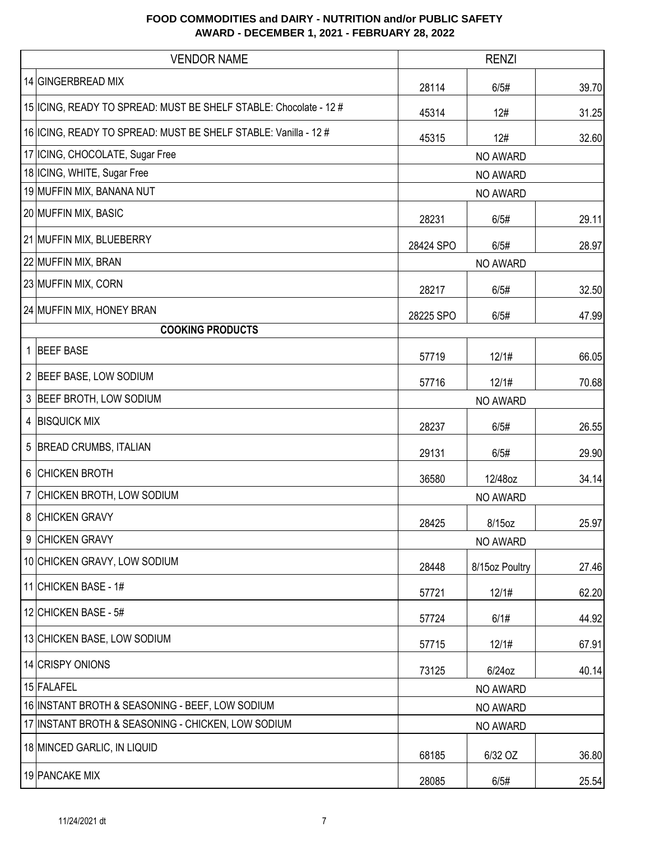|                         | <b>VENDOR NAME</b>                                                  | <b>RENZI</b> |                |       |
|-------------------------|---------------------------------------------------------------------|--------------|----------------|-------|
|                         | 14 GINGERBREAD MIX                                                  | 28114        | 6/5#           | 39.70 |
|                         | 15   ICING, READY TO SPREAD: MUST BE SHELF STABLE: Chocolate - 12 # | 45314        | 12#            | 31.25 |
|                         | 16   ICING, READY TO SPREAD: MUST BE SHELF STABLE: Vanilla - 12 #   | 45315        | 12#            | 32.60 |
|                         | 17 ICING, CHOCOLATE, Sugar Free                                     |              | NO AWARD       |       |
|                         | 18 ICING, WHITE, Sugar Free                                         |              | NO AWARD       |       |
|                         | 19 MUFFIN MIX, BANANA NUT                                           |              | NO AWARD       |       |
|                         | 20 MUFFIN MIX, BASIC                                                | 28231        | 6/5#           | 29.11 |
|                         | 21 MUFFIN MIX, BLUEBERRY                                            | 28424 SPO    | 6/5#           | 28.97 |
|                         | 22 MUFFIN MIX, BRAN                                                 |              | NO AWARD       |       |
|                         | 23 MUFFIN MIX, CORN                                                 | 28217        | 6/5#           | 32.50 |
|                         | 24 MUFFIN MIX, HONEY BRAN                                           | 28225 SPO    | 6/5#           | 47.99 |
| <b>COOKING PRODUCTS</b> |                                                                     |              |                |       |
|                         | 1 BEEF BASE                                                         | 57719        | 12/1#          | 66.05 |
|                         | 2 BEEF BASE, LOW SODIUM                                             | 57716        | 12/1#          | 70.68 |
|                         | 3 BEEF BROTH, LOW SODIUM                                            | NO AWARD     |                |       |
|                         | 4 BISQUICK MIX                                                      | 28237        | 6/5#           | 26.55 |
|                         | 5 BREAD CRUMBS, ITALIAN                                             | 29131        | 6/5#           | 29.90 |
|                         | 6 CHICKEN BROTH                                                     | 36580        | 12/48oz        | 34.14 |
|                         | 7 CHICKEN BROTH, LOW SODIUM                                         |              | NO AWARD       |       |
|                         | 8 CHICKEN GRAVY                                                     | 28425        | 8/15oz         | 25.97 |
|                         | 9 CHICKEN GRAVY                                                     |              | NO AWARD       |       |
|                         | 10 CHICKEN GRAVY, LOW SODIUM                                        | 28448        | 8/15oz Poultry | 27.46 |
|                         | 11 CHICKEN BASE - 1#                                                | 57721        | 12/1#          | 62.20 |
|                         | 12 CHICKEN BASE - 5#                                                | 57724        | 6/1#           | 44.92 |
|                         | 13 CHICKEN BASE, LOW SODIUM                                         | 57715        | 12/1#          | 67.91 |
|                         | 14 CRISPY ONIONS                                                    | 73125        | 6/24oz         | 40.14 |
|                         | 15 FALAFEL                                                          | NO AWARD     |                |       |
|                         | 16 INSTANT BROTH & SEASONING - BEEF, LOW SODIUM                     | NO AWARD     |                |       |
|                         | 17 INSTANT BROTH & SEASONING - CHICKEN, LOW SODIUM                  |              | NO AWARD       |       |
|                         | 18 MINCED GARLIC, IN LIQUID                                         | 68185        | 6/32 OZ        | 36.80 |
|                         | 19 PANCAKE MIX                                                      | 28085        | 6/5#           | 25.54 |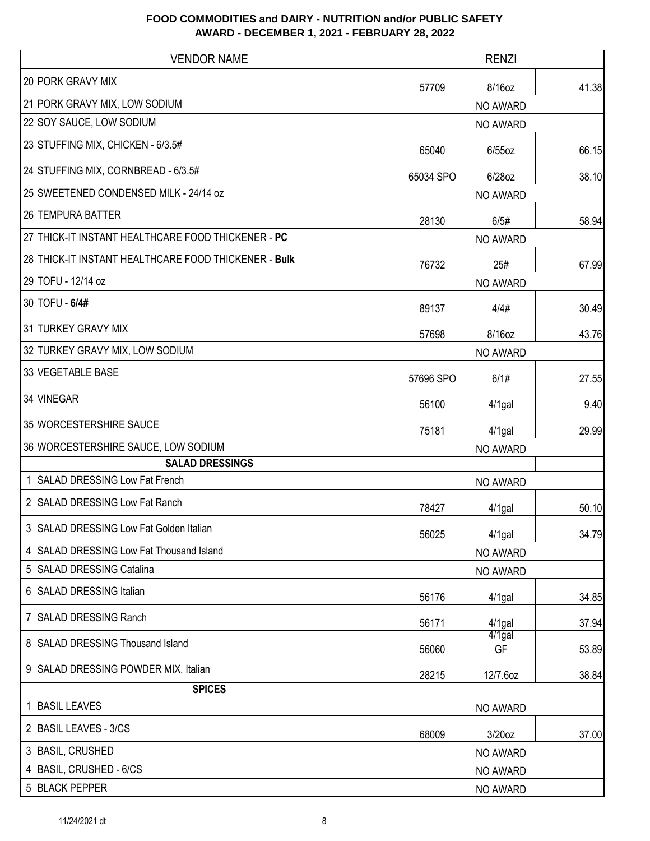| <b>VENDOR NAME</b>                                   |           | <b>RENZI</b>    |       |  |
|------------------------------------------------------|-----------|-----------------|-------|--|
| 20 PORK GRAVY MIX                                    | 57709     | 8/16oz          | 41.38 |  |
| 21 PORK GRAVY MIX, LOW SODIUM                        |           | NO AWARD        |       |  |
| 22 SOY SAUCE, LOW SODIUM                             |           | NO AWARD        |       |  |
| 23 STUFFING MIX, CHICKEN - 6/3.5#                    | 65040     | $6/55$ oz       | 66.15 |  |
| 24 STUFFING MIX, CORNBREAD - 6/3.5#                  | 65034 SPO | 6/28oz          | 38.10 |  |
| 25 SWEETENED CONDENSED MILK - 24/14 oz               |           | NO AWARD        |       |  |
| 26 TEMPURA BATTER                                    | 28130     | 6/5#            | 58.94 |  |
| 27 THICK-IT INSTANT HEALTHCARE FOOD THICKENER - PC   |           | NO AWARD        |       |  |
| 28 THICK-IT INSTANT HEALTHCARE FOOD THICKENER - Bulk | 76732     | 25#             | 67.99 |  |
| 29 TOFU - 12/14 oz                                   |           | NO AWARD        |       |  |
| 30 TOFU - 6/4#                                       | 89137     | 4/4#            | 30.49 |  |
| 31 TURKEY GRAVY MIX                                  | 57698     | 8/16oz          | 43.76 |  |
| 32 TURKEY GRAVY MIX, LOW SODIUM                      |           | NO AWARD        |       |  |
| 33 VEGETABLE BASE                                    | 57696 SPO | 6/1#            | 27.55 |  |
| 34 VINEGAR                                           | 56100     | $4/1$ gal       | 9.40  |  |
| 35 WORCESTERSHIRE SAUCE                              | 75181     | $4/1$ gal       | 29.99 |  |
| 36 WORCESTERSHIRE SAUCE, LOW SODIUM                  |           | NO AWARD        |       |  |
| <b>SALAD DRESSINGS</b>                               |           |                 |       |  |
| 1 SALAD DRESSING Low Fat French                      |           | NO AWARD        |       |  |
| 2 SALAD DRESSING Low Fat Ranch                       | 78427     | 4/1gal          | 50.10 |  |
| 3 SALAD DRESSING Low Fat Golden Italian              | 56025     | $4/1$ gal       | 34.79 |  |
| 4 SALAD DRESSING Low Fat Thousand Island             |           | NO AWARD        |       |  |
| <b>SALAD DRESSING Catalina</b><br>5                  |           | NO AWARD        |       |  |
| 6 SALAD DRESSING Italian                             | 56176     | $4/1$ gal       | 34.85 |  |
| 7 SALAD DRESSING Ranch                               | 56171     | $4/1$ gal       | 37.94 |  |
| 8 SALAD DRESSING Thousand Island                     | 56060     | $4/1$ gal<br>GF | 53.89 |  |
| 9 SALAD DRESSING POWDER MIX, Italian                 | 28215     | 12/7.6oz        | 38.84 |  |
| <b>SPICES</b>                                        |           |                 |       |  |
| 1 BASIL LEAVES                                       |           | NO AWARD        |       |  |
| 2 BASIL LEAVES - 3/CS                                | 68009     | 3/20oz          | 37.00 |  |
| 3 BASIL, CRUSHED                                     |           | NO AWARD        |       |  |
| $\overline{4}$<br>BASIL, CRUSHED - 6/CS              |           | NO AWARD        |       |  |
| 5 BLACK PEPPER                                       |           | NO AWARD        |       |  |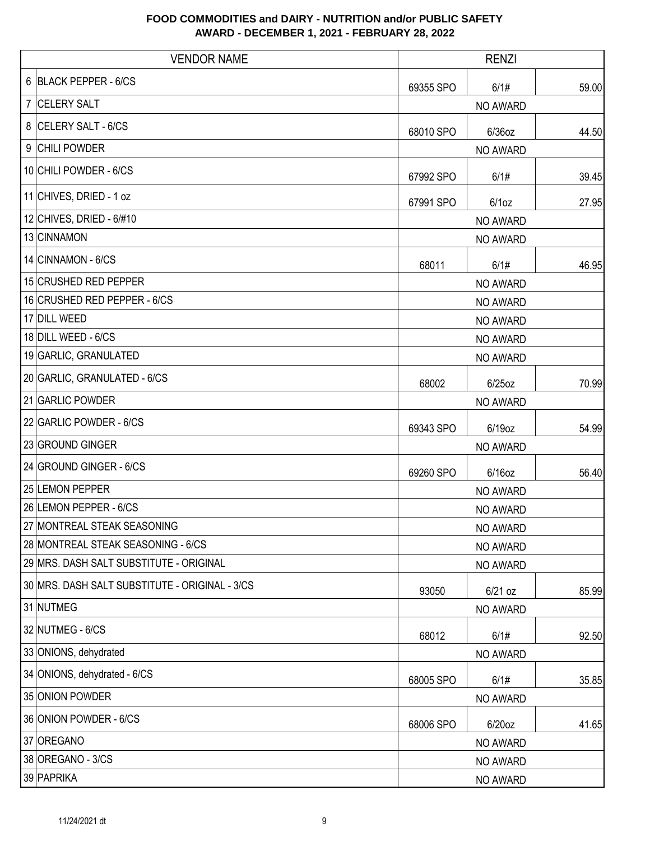| <b>VENDOR NAME</b>                             |           | <b>RENZI</b> |       |  |
|------------------------------------------------|-----------|--------------|-------|--|
| <b>BLACK PEPPER - 6/CS</b><br>6                | 69355 SPO | 6/1#         | 59.00 |  |
| <b>CELERY SALT</b><br>7                        |           | NO AWARD     |       |  |
| <b>CELERY SALT - 6/CS</b><br>8                 | 68010 SPO | 6/36oz       | 44.50 |  |
| <b>CHILI POWDER</b><br>9                       |           | NO AWARD     |       |  |
| 10 CHILI POWDER - 6/CS                         | 67992 SPO | 6/1#         | 39.45 |  |
| 11 CHIVES, DRIED - 1 oz                        | 67991 SPO | $6/1$ oz     | 27.95 |  |
| 12 CHIVES, DRIED - 6/#10                       |           | NO AWARD     |       |  |
| 13 CINNAMON                                    |           | NO AWARD     |       |  |
| 14 CINNAMON - 6/CS                             | 68011     | 6/1#         | 46.95 |  |
| 15 CRUSHED RED PEPPER                          |           | NO AWARD     |       |  |
| 16 CRUSHED RED PEPPER - 6/CS                   |           | NO AWARD     |       |  |
| 17 DILL WEED                                   |           | NO AWARD     |       |  |
| 18 DILL WEED - 6/CS                            |           | NO AWARD     |       |  |
| 19 GARLIC, GRANULATED                          |           | NO AWARD     |       |  |
| 20 GARLIC, GRANULATED - 6/CS                   | 68002     | $6/25$ oz    | 70.99 |  |
| 21 GARLIC POWDER                               |           | NO AWARD     |       |  |
| 22 GARLIC POWDER - 6/CS                        | 69343 SPO | 6/19oz       | 54.99 |  |
| 23 GROUND GINGER                               |           | NO AWARD     |       |  |
| 24 GROUND GINGER - 6/CS                        | 69260 SPO | $6/16$ oz    | 56.40 |  |
| 25 LEMON PEPPER                                |           | NO AWARD     |       |  |
| 26 LEMON PEPPER - 6/CS                         |           | NO AWARD     |       |  |
| 27 MONTREAL STEAK SEASONING                    |           | NO AWARD     |       |  |
| 28 MONTREAL STEAK SEASONING - 6/CS             |           | NO AWARD     |       |  |
| 29 MRS. DASH SALT SUBSTITUTE - ORIGINAL        |           | NO AWARD     |       |  |
| 30 MRS. DASH SALT SUBSTITUTE - ORIGINAL - 3/CS | 93050     | $6/21$ oz    | 85.99 |  |
| 31 NUTMEG                                      |           | NO AWARD     |       |  |
| 32 NUTMEG - 6/CS                               | 68012     | 6/1#         | 92.50 |  |
| 33 ONIONS, dehydrated                          |           | NO AWARD     |       |  |
| 34 ONIONS, dehydrated - 6/CS                   | 68005 SPO | 6/1#         | 35.85 |  |
| 35 ONION POWDER                                |           | NO AWARD     |       |  |
| 36 ONION POWDER - 6/CS                         | 68006 SPO | 6/20oz       | 41.65 |  |
| 37 OREGANO                                     |           | NO AWARD     |       |  |
| 38 OREGANO - 3/CS                              |           | NO AWARD     |       |  |
| 39 PAPRIKA                                     |           | NO AWARD     |       |  |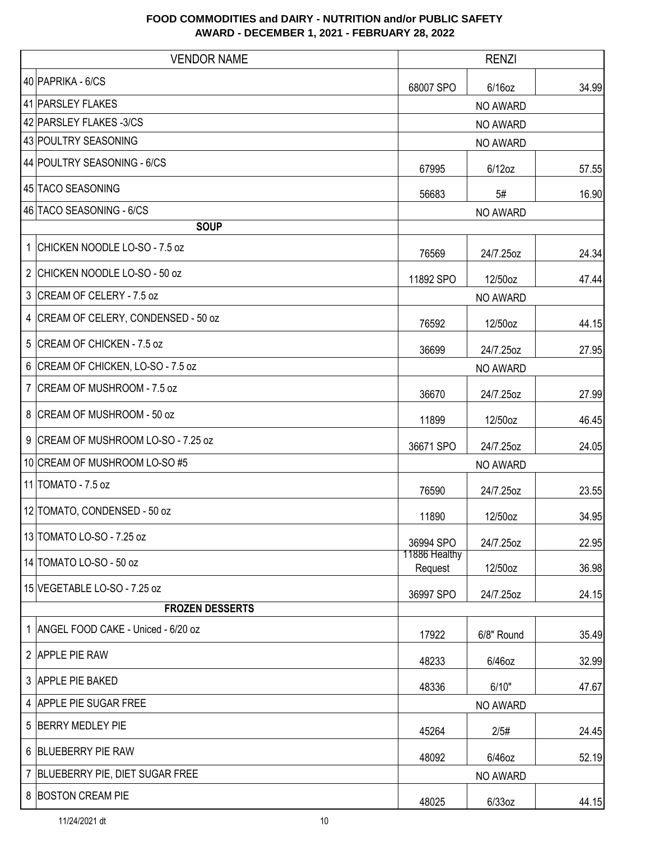|                | <b>VENDOR NAME</b>                 | <b>RENZI</b>             |            |       |
|----------------|------------------------------------|--------------------------|------------|-------|
|                | 40 PAPRIKA - 6/CS                  | 68007 SPO                | $6/16$ oz  | 34.99 |
|                | 41 PARSLEY FLAKES                  | NO AWARD                 |            |       |
|                | 42 PARSLEY FLAKES -3/CS            |                          | NO AWARD   |       |
|                | 43 POULTRY SEASONING               |                          | NO AWARD   |       |
|                | 44 POULTRY SEASONING - 6/CS        | 67995                    | $6/12$ oz  | 57.55 |
|                | 45 TACO SEASONING                  | 56683                    | 5#         | 16.90 |
|                | 46 TACO SEASONING - 6/CS           |                          | NO AWARD   |       |
|                | <b>SOUP</b>                        |                          |            |       |
| 1              | CHICKEN NOODLE LO-SO - 7.5 oz      | 76569                    | 24/7.25oz  | 24.34 |
| 2              | CHICKEN NOODLE LO-SO - 50 oz       | 11892 SPO                | 12/50oz    | 47.44 |
| 3              | CREAM OF CELERY - 7.5 oz           |                          | NO AWARD   |       |
| 4              | CREAM OF CELERY, CONDENSED - 50 oz | 76592                    | 12/50oz    | 44.15 |
| 5              | CREAM OF CHICKEN - 7.5 oz          | 36699                    | 24/7.25oz  | 27.95 |
| 6              | CREAM OF CHICKEN, LO-SO - 7.5 oz   | NO AWARD                 |            |       |
| 7              | CREAM OF MUSHROOM - 7.5 oz         | 36670                    | 24/7.25oz  | 27.99 |
|                | 8 CREAM OF MUSHROOM - 50 oz        | 11899                    | 12/50oz    | 46.45 |
| 9              | CREAM OF MUSHROOM LO-SO - 7.25 oz  | 36671 SPO                | 24/7.25oz  | 24.05 |
|                | 10 CREAM OF MUSHROOM LO-SO #5      | NO AWARD                 |            |       |
|                | 11 TOMATO - 7.5 oz                 | 76590                    | 24/7.25oz  | 23.55 |
|                | 12 TOMATO, CONDENSED - 50 oz       | 11890                    | 12/50oz    | 34.95 |
|                | 13 TOMATO LO-SO - 7.25 oz          | 36994 SPO                | 24/7.25oz  | 22.95 |
|                | 14 TOMATO LO-SO - 50 oz            | 11886 Healthy<br>Request | 12/50oz    | 36.98 |
|                | 15 VEGETABLE LO-SO - 7.25 oz       | 36997 SPO                | 24/7.25oz  | 24.15 |
|                | <b>FROZEN DESSERTS</b>             |                          |            |       |
| 1              | ANGEL FOOD CAKE - Uniced - 6/20 oz | 17922                    | 6/8" Round | 35.49 |
|                | 2 APPLE PIE RAW                    | 48233                    | 6/46oz     | 32.99 |
|                | 3 APPLE PIE BAKED                  | 48336                    | 6/10"      | 47.67 |
| $\overline{4}$ | <b>APPLE PIE SUGAR FREE</b>        | NO AWARD                 |            |       |
| 5              | <b>BERRY MEDLEY PIE</b>            | 45264                    | 2/5#       | 24.45 |
| 6              | <b>BLUEBERRY PIE RAW</b>           | 48092                    | 6/46oz     | 52.19 |
| 7              | BLUEBERRY PIE, DIET SUGAR FREE     |                          | NO AWARD   |       |
|                | 8 BOSTON CREAM PIE                 | 48025                    | $6/33$ oz  | 44.15 |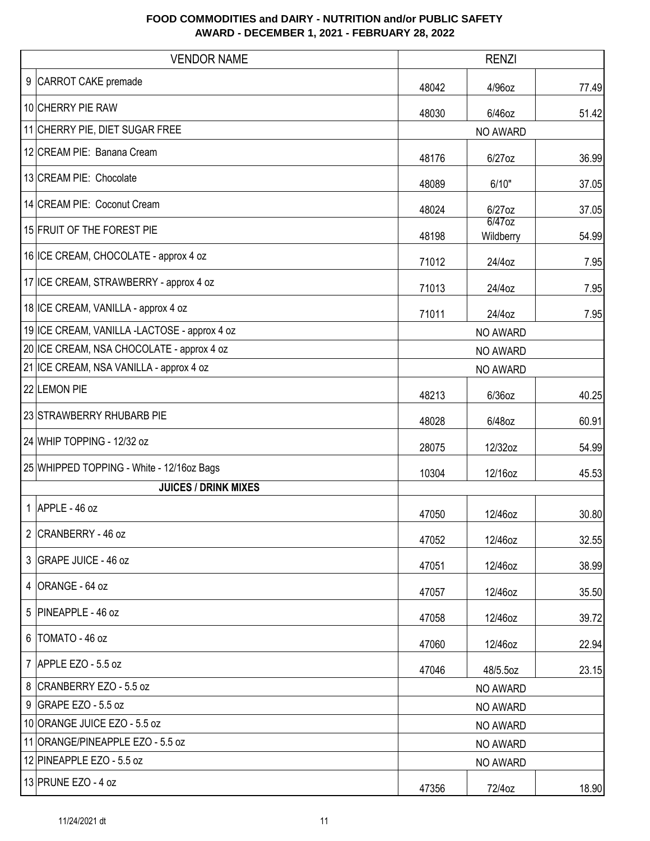| <b>VENDOR NAME</b>                           | <b>RENZI</b> |                     |       |  |
|----------------------------------------------|--------------|---------------------|-------|--|
| 9 CARROT CAKE premade                        | 48042        | 4/96oz              | 77.49 |  |
| 10 CHERRY PIE RAW                            | 48030        | 6/46oz              | 51.42 |  |
| 11 CHERRY PIE, DIET SUGAR FREE               |              | <b>NO AWARD</b>     |       |  |
| 12 CREAM PIE: Banana Cream                   | 48176        | 6/27oz              | 36.99 |  |
| 13 CREAM PIE: Chocolate                      | 48089        | 6/10"               | 37.05 |  |
| 14 CREAM PIE: Coconut Cream                  | 48024        | 6/27oz              | 37.05 |  |
| 15 FRUIT OF THE FOREST PIE                   | 48198        | 6/47oz<br>Wildberry | 54.99 |  |
| 16 ICE CREAM, CHOCOLATE - approx 4 oz        | 71012        | 24/4oz              | 7.95  |  |
| 17 ICE CREAM, STRAWBERRY - approx 4 oz       | 71013        | 24/4oz              | 7.95  |  |
| 18 ICE CREAM, VANILLA - approx 4 oz          | 71011        | 24/4oz              | 7.95  |  |
| 19 ICE CREAM, VANILLA -LACTOSE - approx 4 oz |              | NO AWARD            |       |  |
| 20 ICE CREAM, NSA CHOCOLATE - approx 4 oz    | NO AWARD     |                     |       |  |
| 21 ICE CREAM, NSA VANILLA - approx 4 oz      | NO AWARD     |                     |       |  |
| 22 LEMON PIE                                 | 48213        | $6/36$ oz           | 40.25 |  |
| 23 STRAWBERRY RHUBARB PIE                    | 48028        | 6/48oz              | 60.91 |  |
| 24 WHIP TOPPING - 12/32 oz                   | 28075        | 12/32oz             | 54.99 |  |
| 25 WHIPPED TOPPING - White - 12/16oz Bags    | 10304        | 12/16oz             | 45.53 |  |
| <b>JUICES / DRINK MIXES</b>                  |              |                     |       |  |
| $1$ APPLE - 46 oz                            | 47050        | 12/46oz             | 30.80 |  |
| 2 CRANBERRY - 46 oz                          | 47052        | 12/46oz             | 32.55 |  |
| 3 GRAPE JUICE - 46 oz                        | 47051        | 12/46oz             | 38.99 |  |
| 4   ORANGE - 64 oz                           | 47057        | 12/46oz             | 35.50 |  |
| 5 PINEAPPLE - 46 oz                          | 47058        | 12/46oz             | 39.72 |  |
| 6   TOMATO - 46 oz                           | 47060        | 12/46oz             | 22.94 |  |
| 7 APPLE EZO - 5.5 oz                         | 47046        | 48/5.5oz            | 23.15 |  |
| 8 CRANBERRY EZO - 5.5 oz                     |              | NO AWARD            |       |  |
| 9 GRAPE EZO - 5.5 oz                         |              | NO AWARD            |       |  |
| 10 ORANGE JUICE EZO - 5.5 oz                 |              | NO AWARD            |       |  |
| 11 ORANGE/PINEAPPLE EZO - 5.5 oz             |              | NO AWARD            |       |  |
| 12 PINEAPPLE EZO - 5.5 oz                    |              | NO AWARD            |       |  |
| 13 PRUNE EZO - 4 oz                          | 47356        | 72/4oz              | 18.90 |  |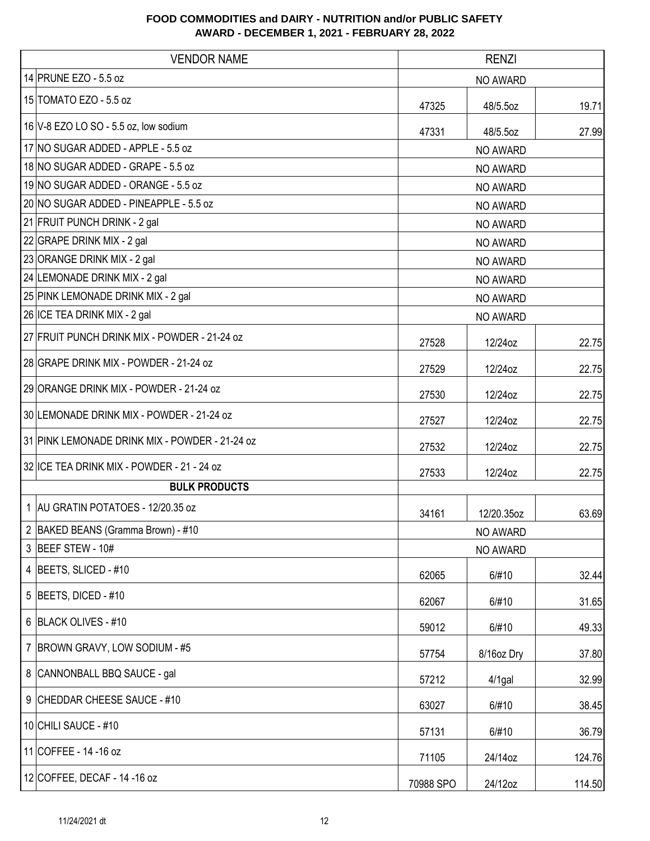| <b>VENDOR NAME</b>                             | <b>RENZI</b> |            |        |  |
|------------------------------------------------|--------------|------------|--------|--|
| 14 PRUNE EZO - 5.5 oz                          |              | NO AWARD   |        |  |
| 15 TOMATO EZO - 5.5 oz                         | 47325        | 48/5.5oz   | 19.71  |  |
| 16 V-8 EZO LO SO - 5.5 oz, low sodium          | 47331        | 48/5.5oz   | 27.99  |  |
| 17 NO SUGAR ADDED - APPLE - 5.5 oz             |              | NO AWARD   |        |  |
| 18 NO SUGAR ADDED - GRAPE - 5.5 oz             |              | NO AWARD   |        |  |
| 19 NO SUGAR ADDED - ORANGE - 5.5 oz            |              | NO AWARD   |        |  |
| 20 NO SUGAR ADDED - PINEAPPLE - 5.5 oz         |              | NO AWARD   |        |  |
| 21 FRUIT PUNCH DRINK - 2 gal                   |              | NO AWARD   |        |  |
| 22 GRAPE DRINK MIX - 2 gal                     |              | NO AWARD   |        |  |
| 23 ORANGE DRINK MIX - 2 gal                    |              | NO AWARD   |        |  |
| 24 LEMONADE DRINK MIX - 2 gal                  |              | NO AWARD   |        |  |
| 25 PINK LEMONADE DRINK MIX - 2 gal             |              | NO AWARD   |        |  |
| 26 ICE TEA DRINK MIX - 2 gal                   |              | NO AWARD   |        |  |
| 27 FRUIT PUNCH DRINK MIX - POWDER - 21-24 oz   | 27528        | 12/24oz    | 22.75  |  |
| 28 GRAPE DRINK MIX - POWDER - 21-24 oz         | 27529        | 12/24oz    | 22.75  |  |
| 29 ORANGE DRINK MIX - POWDER - 21-24 oz        | 27530        | 12/24oz    | 22.75  |  |
| 30 LEMONADE DRINK MIX - POWDER - 21-24 oz      | 27527        | 12/24oz    | 22.75  |  |
| 31 PINK LEMONADE DRINK MIX - POWDER - 21-24 oz | 27532        | 12/24oz    | 22.75  |  |
| 32 ICE TEA DRINK MIX - POWDER - 21 - 24 oz     | 27533        | 12/24oz    | 22.75  |  |
| <b>BULK PRODUCTS</b>                           |              |            |        |  |
| 1 AU GRATIN POTATOES - 12/20.35 oz             | 34161        | 12/20.35oz | 63.69  |  |
| 2 BAKED BEANS (Gramma Brown) - #10             |              | NO AWARD   |        |  |
| 3 BEEF STEW - 10#                              |              | NO AWARD   |        |  |
| 4 BEETS, SLICED - #10                          | 62065        | 6/#10      | 32.44  |  |
| 5 BEETS, DICED - $#10$                         | 62067        | 6/#10      | 31.65  |  |
| 6 BLACK OLIVES - #10                           | 59012        | 6/#10      | 49.33  |  |
| 7   BROWN GRAVY, LOW SODIUM - #5               | 57754        | 8/16oz Dry | 37.80  |  |
| 8 CANNONBALL BBQ SAUCE - gal                   | 57212        | 4/1gal     | 32.99  |  |
| 9 CHEDDAR CHEESE SAUCE - #10                   | 63027        | 6/#10      | 38.45  |  |
| 10 CHILI SAUCE - #10                           | 57131        | 6/#10      | 36.79  |  |
| 11 COFFEE - 14 - 16 oz                         | 71105        | 24/14oz    | 124.76 |  |
| 12 COFFEE, DECAF - 14 - 16 oz                  | 70988 SPO    | 24/12oz    | 114.50 |  |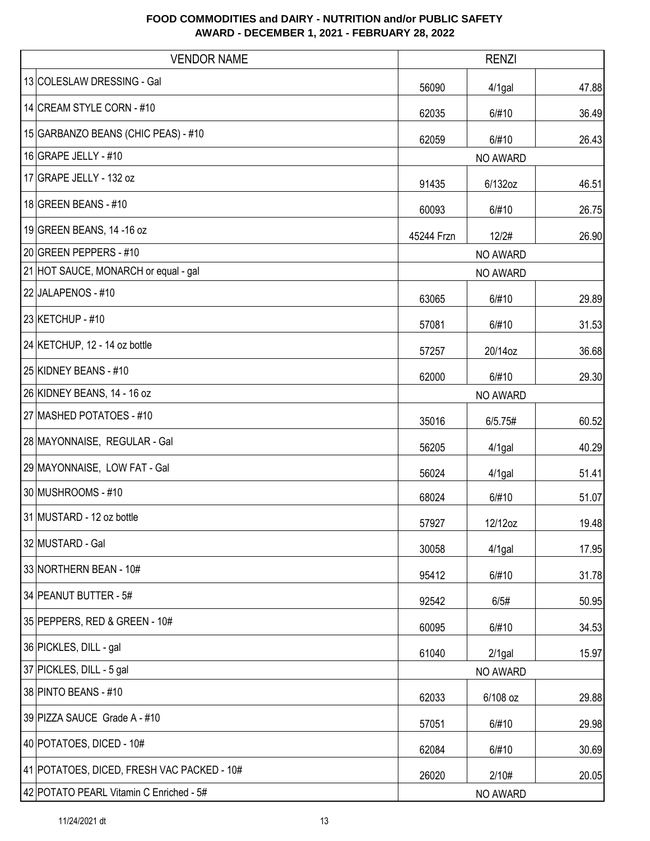| <b>VENDOR NAME</b>                         | <b>RENZI</b> |           |       |
|--------------------------------------------|--------------|-----------|-------|
| 13 COLESLAW DRESSING - Gal                 | 56090        | 4/1gal    | 47.88 |
| 14 CREAM STYLE CORN - #10                  | 62035        | 6/#10     | 36.49 |
| 15 GARBANZO BEANS (CHIC PEAS) - #10        | 62059        | 6/#10     | 26.43 |
| $16$ GRAPE JELLY - #10                     |              | NO AWARD  |       |
| 17 GRAPE JELLY - 132 oz                    | 91435        | 6/132oz   | 46.51 |
| 18 GREEN BEANS - #10                       | 60093        | 6/#10     | 26.75 |
| 19 GREEN BEANS, 14 -16 oz                  | 45244 Frzn   | 12/2#     | 26.90 |
| 20 GREEN PEPPERS - #10                     |              | NO AWARD  |       |
| 21 HOT SAUCE, MONARCH or equal - gal       |              | NO AWARD  |       |
| 22 JALAPENOS - #10                         | 63065        | 6/#10     | 29.89 |
| 23 KETCHUP - #10                           | 57081        | 6/#10     | 31.53 |
| 24 KETCHUP, 12 - 14 oz bottle              | 57257        | 20/14oz   | 36.68 |
| 25 KIDNEY BEANS - #10                      | 62000        | 6/#10     | 29.30 |
| 26 KIDNEY BEANS, 14 - 16 oz                | NO AWARD     |           |       |
| 27 MASHED POTATOES - #10                   | 35016        | 6/5.75#   | 60.52 |
| 28 MAYONNAISE, REGULAR - Gal               | 56205        | $4/1$ gal | 40.29 |
| 29 MAYONNAISE, LOW FAT - Gal               | 56024        | $4/1$ gal | 51.41 |
| 30 MUSHROOMS - #10                         | 68024        | 6/#10     | 51.07 |
| 31 MUSTARD - 12 oz bottle                  | 57927        | 12/12oz   | 19.48 |
| 32 MUSTARD - Gal                           | 30058        | $4/1$ gal | 17.95 |
| 33 NORTHERN BEAN - 10#                     | 95412        | 6/#10     | 31.78 |
| 34 PEANUT BUTTER - 5#                      | 92542        | 6/5#      | 50.95 |
| 35 PEPPERS, RED & GREEN - 10#              | 60095        | 6/#10     | 34.53 |
| 36 PICKLES, DILL - gal                     | 61040        | $2/1$ gal | 15.97 |
| 37 PICKLES, DILL - 5 gal                   |              | NO AWARD  |       |
| 38 PINTO BEANS - #10                       | 62033        | 6/108 oz  | 29.88 |
| 39 PIZZA SAUCE Grade A - #10               | 57051        | 6/#10     | 29.98 |
| 40 POTATOES, DICED - 10#                   | 62084        | 6/#10     | 30.69 |
| 41 POTATOES, DICED, FRESH VAC PACKED - 10# | 26020        | 2/10#     | 20.05 |
| 42 POTATO PEARL Vitamin C Enriched - 5#    |              | NO AWARD  |       |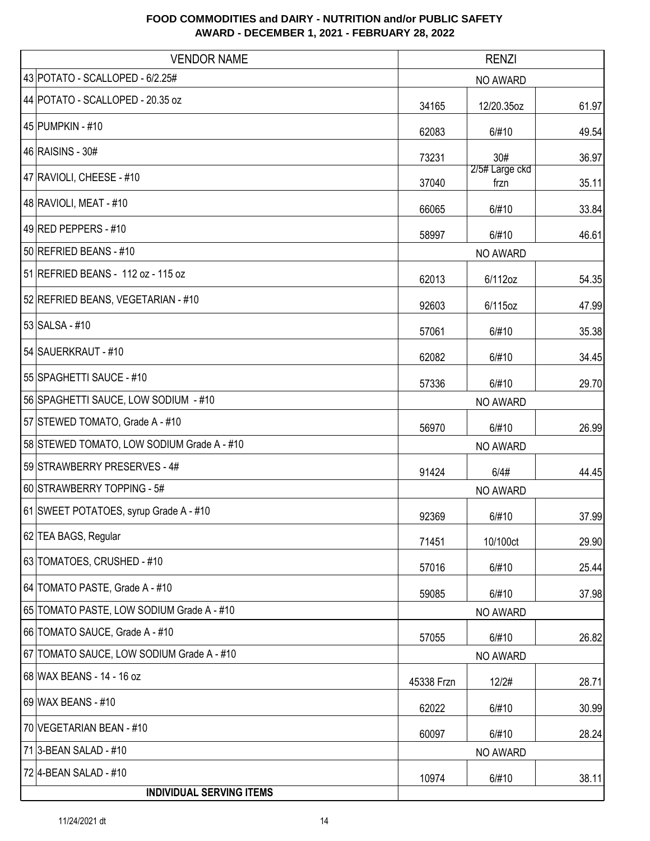| <b>VENDOR NAME</b>                         |            | <b>RENZI</b>           |       |
|--------------------------------------------|------------|------------------------|-------|
| 43 POTATO - SCALLOPED - 6/2.25#            | NO AWARD   |                        |       |
| 44 POTATO - SCALLOPED - 20.35 oz           | 34165      | 12/20.35oz             | 61.97 |
| 45 PUMPKIN - #10                           | 62083      | 6/#10                  | 49.54 |
| 46 RAISINS - 30#                           | 73231      | 30#                    | 36.97 |
| 47 RAVIOLI, CHEESE - #10                   | 37040      | 2/5# Large ckd<br>frzn | 35.11 |
| 48 RAVIOLI, MEAT - #10                     | 66065      | 6/#10                  | 33.84 |
| 49 RED PEPPERS - #10                       | 58997      | 6/#10                  | 46.61 |
| 50 REFRIED BEANS - #10                     |            | NO AWARD               |       |
| 51 REFRIED BEANS - 112 oz - 115 oz         | 62013      | 6/112oz                | 54.35 |
| 52 REFRIED BEANS, VEGETARIAN - #10         | 92603      | 6/115oz                | 47.99 |
| 53 SALSA - #10                             | 57061      | 6/#10                  | 35.38 |
| 54 SAUERKRAUT - #10                        | 62082      | 6/#10                  | 34.45 |
| 55 SPAGHETTI SAUCE - #10                   | 57336      | 6/#10                  | 29.70 |
| 56 SPAGHETTI SAUCE, LOW SODIUM - #10       | NO AWARD   |                        |       |
| 57 STEWED TOMATO, Grade A - #10            | 56970      | 6/#10                  | 26.99 |
| 58 STEWED TOMATO, LOW SODIUM Grade A - #10 |            | NO AWARD               |       |
| 59 STRAWBERRY PRESERVES - 4#               | 91424      | 6/4#                   | 44.45 |
| 60 STRAWBERRY TOPPING - 5#                 |            | NO AWARD               |       |
| 61 SWEET POTATOES, syrup Grade A - #10     | 92369      | 6/#10                  | 37.99 |
| 62 TEA BAGS, Regular                       | 71451      | 10/100ct               | 29.90 |
| 63 TOMATOES, CRUSHED - #10                 | 57016      | 6/#10                  | 25.44 |
| 64 TOMATO PASTE, Grade A - #10             | 59085      | 6/#10                  | 37.98 |
| 65 TOMATO PASTE, LOW SODIUM Grade A - #10  |            | NO AWARD               |       |
| 66 TOMATO SAUCE, Grade A - #10             | 57055      | 6/#10                  | 26.82 |
| 67 TOMATO SAUCE, LOW SODIUM Grade A - #10  | NO AWARD   |                        |       |
| 68 WAX BEANS - 14 - 16 oz                  | 45338 Frzn | 12/2#                  | 28.71 |
| 69 WAX BEANS - #10                         | 62022      | 6/#10                  | 30.99 |
| 70 VEGETARIAN BEAN - #10                   | 60097      | 6/#10                  | 28.24 |
| 71 3-BEAN SALAD - #10                      |            | NO AWARD               |       |
| 72 4-BEAN SALAD - #10                      | 10974      | 6/#10                  | 38.11 |
| <b>INDIVIDUAL SERVING ITEMS</b>            |            |                        |       |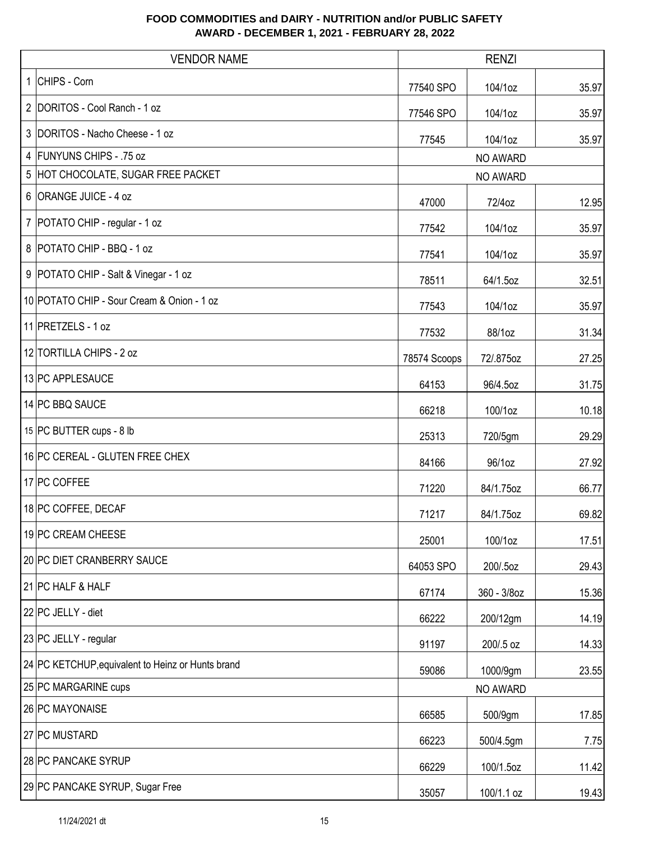| <b>VENDOR NAME</b><br><b>RENZI</b>                |              |                 |       |
|---------------------------------------------------|--------------|-----------------|-------|
| 1 CHIPS - Corn                                    | 77540 SPO    | 104/1oz         | 35.97 |
| 2 DORITOS - Cool Ranch - 1 oz                     | 77546 SPO    | 104/1oz         | 35.97 |
| 3 DORITOS - Nacho Cheese - 1 oz                   | 77545        | 104/1oz         | 35.97 |
| 4 FUNYUNS CHIPS - .75 oz                          |              | <b>NO AWARD</b> |       |
| 5 HOT CHOCOLATE, SUGAR FREE PACKET                |              | NO AWARD        |       |
| 6 ORANGE JUICE - 4 oz                             | 47000        | 72/4oz          | 12.95 |
| 7   POTATO CHIP - regular - 1 oz                  | 77542        | 104/1oz         | 35.97 |
| 8 POTATO CHIP - BBQ - 1 oz                        | 77541        | 104/1oz         | 35.97 |
| 9   POTATO CHIP - Salt & Vinegar - 1 oz           | 78511        | 64/1.5oz        | 32.51 |
| 10 POTATO CHIP - Sour Cream & Onion - 1 oz        | 77543        | 104/1oz         | 35.97 |
| 11 PRETZELS - 1 oz                                | 77532        | 88/1oz          | 31.34 |
| 12 TORTILLA CHIPS - 2 oz                          | 78574 Scoops | 72/.875oz       | 27.25 |
| 13 PC APPLESAUCE                                  | 64153        | 96/4.5oz        | 31.75 |
| 14 PC BBQ SAUCE                                   | 66218        | 100/1oz         | 10.18 |
| 15 PC BUTTER cups - 8 lb                          | 25313        | 720/5gm         | 29.29 |
| 16 PC CEREAL - GLUTEN FREE CHEX                   | 84166        | 96/1oz          | 27.92 |
| 17 PC COFFEE                                      | 71220        | 84/1.75oz       | 66.77 |
| 18 PC COFFEE, DECAF                               | 71217        | 84/1.75oz       | 69.82 |
| 19 PC CREAM CHEESE                                | 25001        | 100/1oz         | 17.51 |
| 20 PC DIET CRANBERRY SAUCE                        | 64053 SPO    | 200/.5oz        | 29.43 |
| 21 PC HALF & HALF                                 | 67174        | 360 - 3/8oz     | 15.36 |
| 22 PC JELLY - diet                                | 66222        | 200/12gm        | 14.19 |
| 23 PC JELLY - regular                             | 91197        | 200/.5 oz       | 14.33 |
| 24 PC KETCHUP, equivalent to Heinz or Hunts brand | 59086        | 1000/9gm        | 23.55 |
| 25 PC MARGARINE cups                              |              | NO AWARD        |       |
| 26 PC MAYONAISE                                   | 66585        | 500/9gm         | 17.85 |
| 27 PC MUSTARD                                     | 66223        | 500/4.5gm       | 7.75  |
| 28 PC PANCAKE SYRUP                               | 66229        | 100/1.5oz       | 11.42 |
| 29 PC PANCAKE SYRUP, Sugar Free                   | 35057        | 100/1.1 oz      | 19.43 |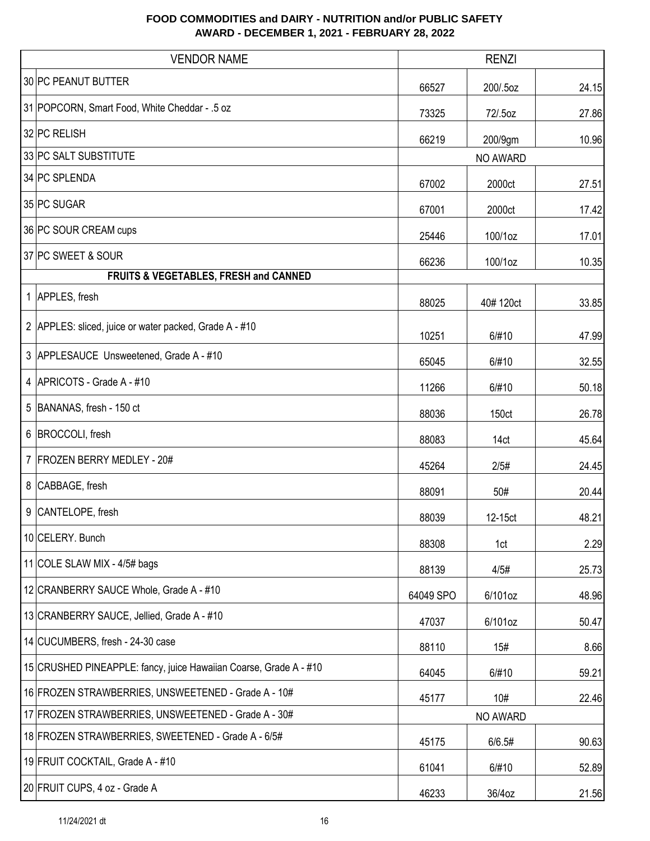|   | <b>VENDOR NAME</b>                                                | <b>RENZI</b> |          |       |
|---|-------------------------------------------------------------------|--------------|----------|-------|
|   | 30 PC PEANUT BUTTER                                               | 66527        | 200/.5oz | 24.15 |
|   | 31 POPCORN, Smart Food, White Cheddar - .5 oz                     | 73325        | 72/.5oz  | 27.86 |
|   | 32 PC RELISH                                                      | 66219        | 200/9gm  | 10.96 |
|   | 33 PC SALT SUBSTITUTE                                             |              | NO AWARD |       |
|   | 34 PC SPLENDA                                                     | 67002        | 2000ct   | 27.51 |
|   | 35 PC SUGAR                                                       | 67001        | 2000ct   | 17.42 |
|   | 36 PC SOUR CREAM cups                                             | 25446        | 100/1oz  | 17.01 |
|   | 37 PC SWEET & SOUR                                                | 66236        | 100/1oz  | 10.35 |
|   | FRUITS & VEGETABLES, FRESH and CANNED                             |              |          |       |
|   | 1 APPLES, fresh                                                   | 88025        | 40#120ct | 33.85 |
|   | 2 APPLES: sliced, juice or water packed, Grade A - #10            | 10251        | 6/#10    | 47.99 |
|   | 3 APPLESAUCE Unsweetened, Grade A - #10                           | 65045        | 6/#10    | 32.55 |
|   | 4 APRICOTS - Grade A - #10                                        | 11266        | 6/#10    | 50.18 |
| 5 | BANANAS, fresh - 150 ct                                           | 88036        | 150ct    | 26.78 |
| 6 | BROCCOLI, fresh                                                   | 88083        | 14ct     | 45.64 |
|   | 7 FROZEN BERRY MEDLEY - 20#                                       | 45264        | 2/5#     | 24.45 |
|   | 8 CABBAGE, fresh                                                  | 88091        | 50#      | 20.44 |
|   | 9 CANTELOPE, fresh                                                | 88039        | 12-15ct  | 48.21 |
|   | 10 CELERY. Bunch                                                  | 88308        | 1ct      | 2.29  |
|   | 11 COLE SLAW MIX - 4/5# bags                                      | 88139        | 4/5#     | 25.73 |
|   | 12 CRANBERRY SAUCE Whole, Grade A - #10                           | 64049 SPO    | 6/101oz  | 48.96 |
|   | 13 CRANBERRY SAUCE, Jellied, Grade A - #10                        | 47037        | 6/101oz  | 50.47 |
|   | 14 CUCUMBERS, fresh - 24-30 case                                  | 88110        | 15#      | 8.66  |
|   | 15 CRUSHED PINEAPPLE: fancy, juice Hawaiian Coarse, Grade A - #10 | 64045        | 6/#10    | 59.21 |
|   | 16 FROZEN STRAWBERRIES, UNSWEETENED - Grade A - 10#               | 45177        | 10#      | 22.46 |
|   | 17 FROZEN STRAWBERRIES, UNSWEETENED - Grade A - 30#               |              | NO AWARD |       |
|   | 18 FROZEN STRAWBERRIES, SWEETENED - Grade A - 6/5#                | 45175        | 6/6.5#   | 90.63 |
|   | 19 FRUIT COCKTAIL, Grade A - #10                                  | 61041        | 6/#10    | 52.89 |
|   | 20 FRUIT CUPS, 4 oz - Grade A                                     | 46233        | 36/4oz   | 21.56 |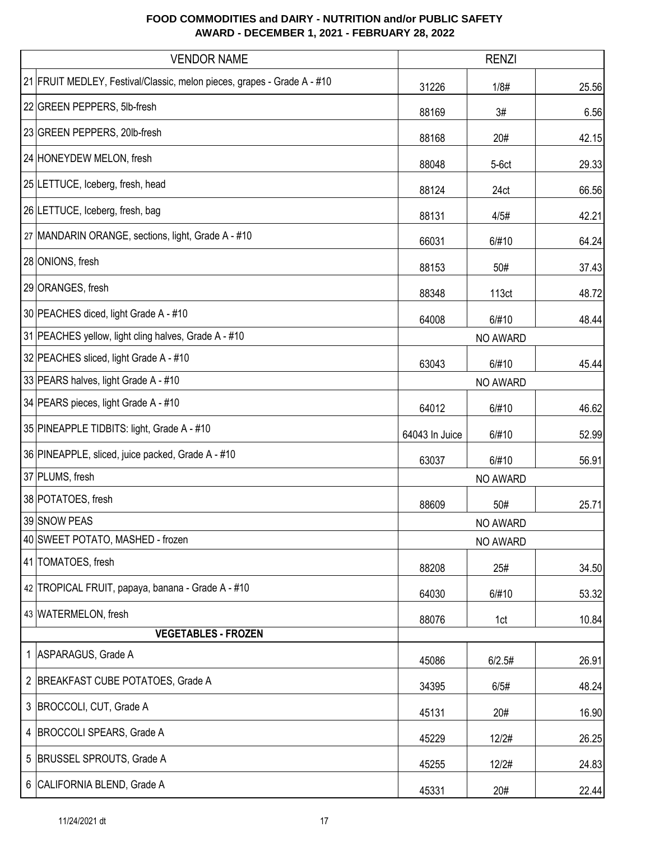| <b>VENDOR NAME</b>                                                      | <b>RENZI</b>   |          |       |  |
|-------------------------------------------------------------------------|----------------|----------|-------|--|
| 21 FRUIT MEDLEY, Festival/Classic, melon pieces, grapes - Grade A - #10 | 31226          | 1/8#     | 25.56 |  |
| 22 GREEN PEPPERS, 5lb-fresh                                             | 88169          | 3#       | 6.56  |  |
| 23 GREEN PEPPERS, 20lb-fresh                                            | 88168          | 20#      | 42.15 |  |
| 24 HONEYDEW MELON, fresh                                                | 88048          | $5-6ct$  | 29.33 |  |
| 25 LETTUCE, Iceberg, fresh, head                                        | 88124          | 24ct     | 66.56 |  |
| 26 LETTUCE, Iceberg, fresh, bag                                         | 88131          | 4/5#     | 42.21 |  |
| 27 MANDARIN ORANGE, sections, light, Grade A - #10                      | 66031          | 6/#10    | 64.24 |  |
| 28 ONIONS, fresh                                                        | 88153          | 50#      | 37.43 |  |
| 29 ORANGES, fresh                                                       | 88348          | 113ct    | 48.72 |  |
| 30 PEACHES diced, light Grade A - #10                                   | 64008          | 6/#10    | 48.44 |  |
| 31 PEACHES yellow, light cling halves, Grade A - #10                    | NO AWARD       |          |       |  |
| 32 PEACHES sliced, light Grade A - #10                                  | 63043          | 6/#10    | 45.44 |  |
| 33 PEARS halves, light Grade A - #10                                    | NO AWARD       |          |       |  |
| 34 PEARS pieces, light Grade A - #10                                    | 64012          | 6/#10    | 46.62 |  |
| 35 PINEAPPLE TIDBITS: light, Grade A - #10                              | 64043 In Juice | 6/#10    | 52.99 |  |
| 36 PINEAPPLE, sliced, juice packed, Grade A - #10                       | 63037          | 6/#10    | 56.91 |  |
| 37 PLUMS, fresh                                                         |                | NO AWARD |       |  |
| 38 POTATOES, fresh                                                      | 88609          | 50#      | 25.71 |  |
| 39 SNOW PEAS                                                            |                | NO AWARD |       |  |
| 40 SWEET POTATO, MASHED - frozen                                        |                | NO AWARD |       |  |
| 41 TOMATOES, fresh                                                      | 88208          | 25#      | 34.50 |  |
| 42 TROPICAL FRUIT, papaya, banana - Grade A - #10                       | 64030          | 6/#10    | 53.32 |  |
| 43 WATERMELON, fresh                                                    | 88076          | 1ct      | 10.84 |  |
| <b>VEGETABLES - FROZEN</b>                                              |                |          |       |  |
| 1 ASPARAGUS, Grade A                                                    | 45086          | 6/2.5#   | 26.91 |  |
| 2 BREAKFAST CUBE POTATOES, Grade A                                      | 34395          | 6/5#     | 48.24 |  |
| 3 BROCCOLI, CUT, Grade A                                                | 45131          | 20#      | 16.90 |  |
| 4   BROCCOLI SPEARS, Grade A                                            | 45229          | 12/2#    | 26.25 |  |
| 5 BRUSSEL SPROUTS, Grade A                                              | 45255          | 12/2#    | 24.83 |  |
| 6 CALIFORNIA BLEND, Grade A                                             | 45331          | 20#      | 22.44 |  |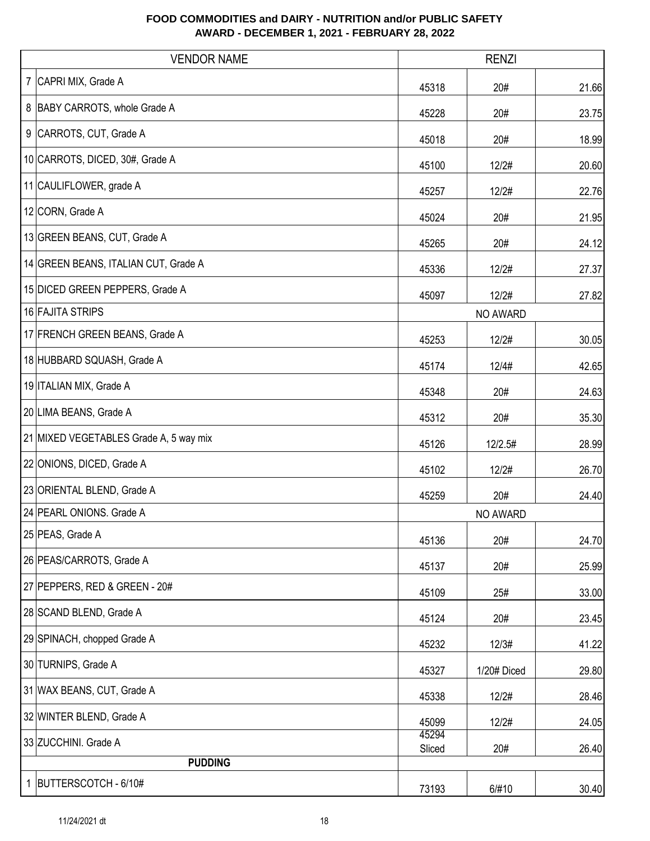| <b>VENDOR NAME</b>                     | <b>RENZI</b>    |             |       |
|----------------------------------------|-----------------|-------------|-------|
| 7 CAPRI MIX, Grade A                   | 45318           | 20#         | 21.66 |
| 8 BABY CARROTS, whole Grade A          | 45228           | 20#         | 23.75 |
| 9 CARROTS, CUT, Grade A                | 45018           | 20#         | 18.99 |
| 10 CARROTS, DICED, 30#, Grade A        | 45100           | 12/2#       | 20.60 |
| 11 CAULIFLOWER, grade A                | 45257           | 12/2#       | 22.76 |
| 12 CORN, Grade A                       | 45024           | 20#         | 21.95 |
| 13 GREEN BEANS, CUT, Grade A           | 45265           | 20#         | 24.12 |
| 14 GREEN BEANS, ITALIAN CUT, Grade A   | 45336           | 12/2#       | 27.37 |
| 15 DICED GREEN PEPPERS, Grade A        | 45097           | 12/2#       | 27.82 |
| 16 FAJITA STRIPS                       |                 | NO AWARD    |       |
| 17 FRENCH GREEN BEANS, Grade A         | 45253           | 12/2#       | 30.05 |
| 18 HUBBARD SQUASH, Grade A             | 45174           | 12/4#       | 42.65 |
| 19 ITALIAN MIX, Grade A                | 45348           | 20#         | 24.63 |
| 20 LIMA BEANS, Grade A                 | 45312           | 20#         | 35.30 |
| 21 MIXED VEGETABLES Grade A, 5 way mix | 45126           | 12/2.5#     | 28.99 |
| 22 ONIONS, DICED, Grade A              | 45102           | 12/2#       | 26.70 |
| 23 ORIENTAL BLEND, Grade A             | 45259           | 20#         | 24.40 |
| 24 PEARL ONIONS. Grade A               |                 | NO AWARD    |       |
| 25 PEAS, Grade A                       | 45136           | 20#         | 24.70 |
| 26 PEAS/CARROTS, Grade A               | 45137           | 20#         | 25.99 |
| 27 PEPPERS, RED & GREEN - 20#          | 45109           | 25#         | 33.00 |
| 28 SCAND BLEND, Grade A                | 45124           | 20#         | 23.45 |
| 29 SPINACH, chopped Grade A            | 45232           | 12/3#       | 41.22 |
| 30 TURNIPS, Grade A                    | 45327           | 1/20# Diced | 29.80 |
| 31 WAX BEANS, CUT, Grade A             | 45338           | 12/2#       | 28.46 |
| 32 WINTER BLEND, Grade A               | 45099           | 12/2#       | 24.05 |
| 33 ZUCCHINI. Grade A                   | 45294<br>Sliced | 20#         | 26.40 |
| <b>PUDDING</b>                         |                 |             |       |
| 1 BUTTERSCOTCH - 6/10#                 | 73193           | 6/#10       | 30.40 |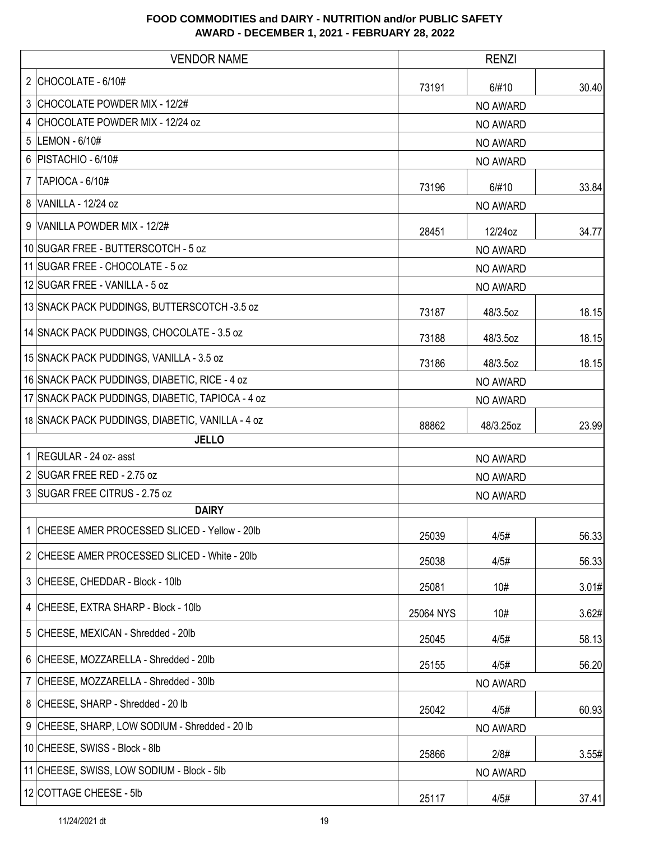|   | <b>VENDOR NAME</b>                               | <b>RENZI</b> |           |       |
|---|--------------------------------------------------|--------------|-----------|-------|
|   | 2 CHOCOLATE - $6/10#$                            | 73191        | 6/#10     | 30.40 |
| 3 | CHOCOLATE POWDER MIX - 12/2#                     |              | NO AWARD  |       |
| 4 | CHOCOLATE POWDER MIX - 12/24 oz                  | NO AWARD     |           |       |
| 5 | LEMON - 6/10#                                    |              | NO AWARD  |       |
|   | 6   PISTACHIO - $6/10#$                          | NO AWARD     |           |       |
| 7 | <b>TAPIOCA - 6/10#</b>                           | 73196        | 6/#10     | 33.84 |
|   | 8 VANILLA - 12/24 oz                             |              | NO AWARD  |       |
|   | 9 VANILLA POWDER MIX - 12/2#                     | 28451        | 12/24oz   | 34.77 |
|   | 10 SUGAR FREE - BUTTERSCOTCH - 5 oz              |              | NO AWARD  |       |
|   | 11 SUGAR FREE - CHOCOLATE - 5 oz                 |              | NO AWARD  |       |
|   | 12 SUGAR FREE - VANILLA - 5 oz                   |              | NO AWARD  |       |
|   | 13 SNACK PACK PUDDINGS, BUTTERSCOTCH -3.5 oz     | 73187        | 48/3.5oz  | 18.15 |
|   | 14 SNACK PACK PUDDINGS, CHOCOLATE - 3.5 oz       | 73188        | 48/3.5oz  | 18.15 |
|   | 15 SNACK PACK PUDDINGS, VANILLA - 3.5 oz         | 73186        | 48/3.5oz  | 18.15 |
|   | 16 SNACK PACK PUDDINGS, DIABETIC, RICE - 4 oz    | NO AWARD     |           |       |
|   | 17 SNACK PACK PUDDINGS, DIABETIC, TAPIOCA - 4 oz | NO AWARD     |           |       |
|   | 18 SNACK PACK PUDDINGS, DIABETIC, VANILLA - 4 oz | 88862        | 48/3.25oz | 23.99 |
|   | <b>JELLO</b>                                     |              |           |       |
|   | 1 REGULAR - 24 oz- asst                          |              | NO AWARD  |       |
|   | 2 SUGAR FREE RED - 2.75 oz                       | NO AWARD     |           |       |
|   | 3 SUGAR FREE CITRUS - 2.75 oz                    |              | NO AWARD  |       |
|   | <b>DAIRY</b>                                     |              |           |       |
|   | CHEESE AMER PROCESSED SLICED - Yellow - 20lb     | 25039        | 4/5#      | 56.33 |
|   | 2 CHEESE AMER PROCESSED SLICED - White - 20lb    | 25038        | 4/5#      | 56.33 |
|   | 3 CHEESE, CHEDDAR - Block - 10lb                 | 25081        | 10#       | 3.01# |
|   | 4 CHEESE, EXTRA SHARP - Block - 10lb             | 25064 NYS    | 10#       | 3.62# |
|   | 5 CHEESE, MEXICAN - Shredded - 20lb              | 25045        | 4/5#      | 58.13 |
|   | 6 CHEESE, MOZZARELLA - Shredded - 20lb           | 25155        | 4/5#      | 56.20 |
|   | 7 CHEESE, MOZZARELLA - Shredded - 30lb           |              | NO AWARD  |       |
|   | 8 CHEESE, SHARP - Shredded - 20 lb               | 25042        | 4/5#      | 60.93 |
|   | 9 CHEESE, SHARP, LOW SODIUM - Shredded - 20 lb   |              | NO AWARD  |       |
|   | 10 CHEESE, SWISS - Block - 8lb                   | 25866        | 2/8#      | 3.55# |
|   | 11 CHEESE, SWISS, LOW SODIUM - Block - 5lb       |              | NO AWARD  |       |
|   | 12 COTTAGE CHEESE - 5lb                          | 25117        | 4/5#      | 37.41 |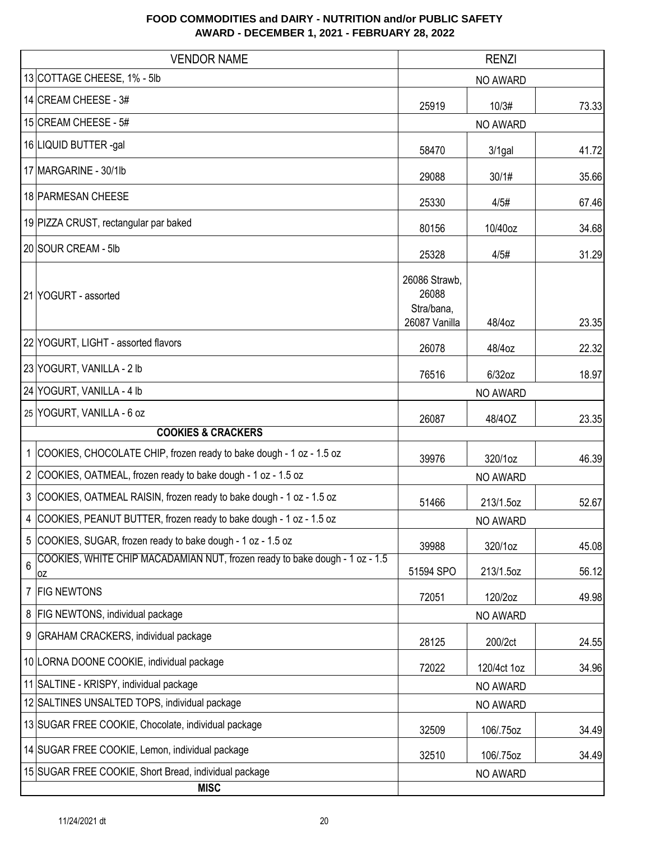|   | <b>VENDOR NAME</b>                                                                |                                                       | <b>RENZI</b>    |       |
|---|-----------------------------------------------------------------------------------|-------------------------------------------------------|-----------------|-------|
|   | 13 COTTAGE CHEESE, 1% - 5lb                                                       | NO AWARD                                              |                 |       |
|   | 14 CREAM CHEESE - 3#                                                              | 25919                                                 | 10/3#           | 73.33 |
|   | 15 CREAM CHEESE - 5#                                                              |                                                       | NO AWARD        |       |
|   | 16 LIQUID BUTTER -gal                                                             | 58470                                                 | $3/1$ gal       | 41.72 |
|   | 17 MARGARINE - 30/1lb                                                             | 29088                                                 | 30/1#           | 35.66 |
|   | 18 PARMESAN CHEESE                                                                | 25330                                                 | 4/5#            | 67.46 |
|   | 19 PIZZA CRUST, rectangular par baked                                             | 80156                                                 | 10/40oz         | 34.68 |
|   | 20 SOUR CREAM - 5lb                                                               | 25328                                                 | 4/5#            | 31.29 |
|   | 21 YOGURT - assorted                                                              | 26086 Strawb,<br>26088<br>Stra/bana,<br>26087 Vanilla | 48/4oz          | 23.35 |
|   | 22 YOGURT, LIGHT - assorted flavors                                               | 26078                                                 | 48/4oz          | 22.32 |
|   | 23 YOGURT, VANILLA - 2 lb                                                         | 76516                                                 | 6/32oz          | 18.97 |
|   | 24 YOGURT, VANILLA - 4 lb                                                         | NO AWARD                                              |                 |       |
|   | 25 YOGURT, VANILLA - 6 oz                                                         | 26087                                                 | 48/40Z          | 23.35 |
|   | <b>COOKIES &amp; CRACKERS</b>                                                     |                                                       |                 |       |
|   | 1 COOKIES, CHOCOLATE CHIP, frozen ready to bake dough - 1 oz - 1.5 oz             | 39976                                                 | 320/1oz         | 46.39 |
|   | 2 COOKIES, OATMEAL, frozen ready to bake dough - 1 oz - 1.5 oz                    |                                                       | <b>NO AWARD</b> |       |
|   | 3 COOKIES, OATMEAL RAISIN, frozen ready to bake dough - 1 oz - 1.5 oz             | 51466                                                 | 213/1.5oz       | 52.67 |
|   | 4 COOKIES, PEANUT BUTTER, frozen ready to bake dough - 1 oz - 1.5 oz              |                                                       | NO AWARD        |       |
|   | 5 COOKIES, SUGAR, frozen ready to bake dough - 1 oz - 1.5 oz                      | 39988                                                 | 320/1oz         | 45.08 |
| 6 | COOKIES, WHITE CHIP MACADAMIAN NUT, frozen ready to bake dough - 1 oz - 1.5<br>ΟZ | 51594 SPO                                             | 213/1.5oz       | 56.12 |
| 7 | <b>FIG NEWTONS</b>                                                                | 72051                                                 | 120/2oz         | 49.98 |
|   | 8   FIG NEWTONS, individual package                                               |                                                       | NO AWARD        |       |
|   | 9 GRAHAM CRACKERS, individual package                                             | 28125                                                 | 200/2ct         | 24.55 |
|   | 10 LORNA DOONE COOKIE, individual package                                         | 72022                                                 | 120/4ct 1oz     | 34.96 |
|   | 11 SALTINE - KRISPY, individual package                                           |                                                       | NO AWARD        |       |
|   | 12 SALTINES UNSALTED TOPS, individual package                                     |                                                       | NO AWARD        |       |
|   | 13 SUGAR FREE COOKIE, Chocolate, individual package                               | 32509                                                 | 106/.75oz       | 34.49 |
|   | 14 SUGAR FREE COOKIE, Lemon, individual package                                   | 32510                                                 | 106/.75oz       | 34.49 |
|   | 15 SUGAR FREE COOKIE, Short Bread, individual package<br><b>MISC</b>              |                                                       | NO AWARD        |       |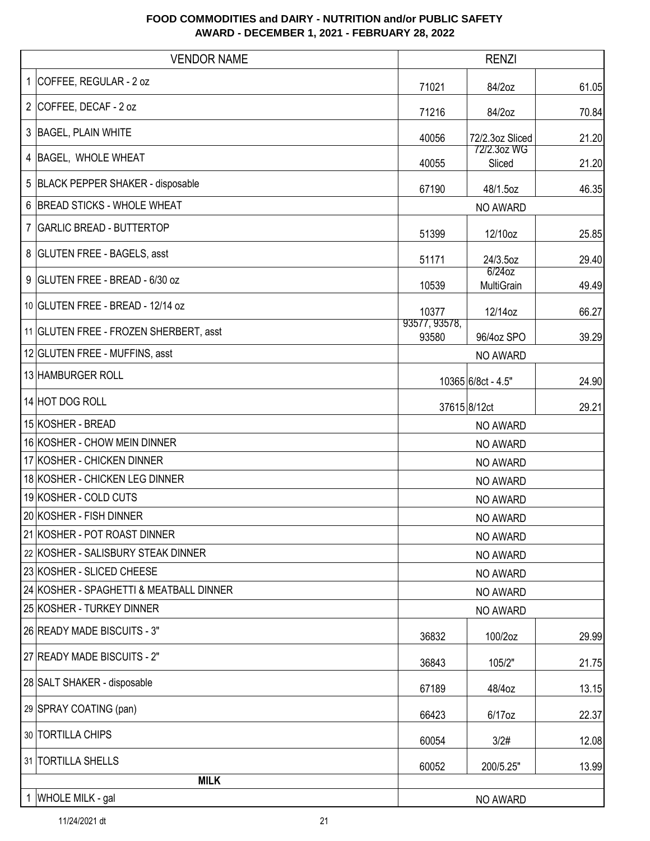| <b>VENDOR NAME</b>                      |                        | <b>RENZI</b>            |       |
|-----------------------------------------|------------------------|-------------------------|-------|
| 1 COFFEE, REGULAR - 2 oz                | 71021                  | 84/2oz                  | 61.05 |
| 2 COFFEE, DECAF - 2 oz                  | 71216                  | 84/2oz                  | 70.84 |
| 3 BAGEL, PLAIN WHITE                    | 40056                  | 72/2.3oz Sliced         | 21.20 |
| 4 BAGEL, WHOLE WHEAT                    | 40055                  | 72/2.3oz WG<br>Sliced   | 21.20 |
| 5 BLACK PEPPER SHAKER - disposable      | 67190                  | 48/1.5oz                | 46.35 |
| 6 BREAD STICKS - WHOLE WHEAT            |                        | NO AWARD                |       |
| 7 GARLIC BREAD - BUTTERTOP              | 51399                  | 12/10oz                 | 25.85 |
| 8 GLUTEN FREE - BAGELS, asst            | 51171                  | 24/3.5oz                | 29.40 |
| 9 GLUTEN FREE - BREAD - 6/30 oz         | 10539                  | $6/24$ oz<br>MultiGrain | 49.49 |
| 10 GLUTEN FREE - BREAD - 12/14 oz       | 10377                  | 12/14oz                 | 66.27 |
| 11 GLUTEN FREE - FROZEN SHERBERT, asst  | 93577, 93578,<br>93580 | 96/4oz SPO              | 39.29 |
| 12 GLUTEN FREE - MUFFINS, asst          |                        | NO AWARD                |       |
| 13 HAMBURGER ROLL                       |                        | 10365 6/8ct - 4.5"      | 24.90 |
| 14 HOT DOG ROLL                         |                        | 37615 8/12ct            | 29.21 |
| 15 KOSHER - BREAD                       | NO AWARD               |                         |       |
| 16 KOSHER - CHOW MEIN DINNER            | NO AWARD               |                         |       |
| 17 KOSHER - CHICKEN DINNER              | NO AWARD               |                         |       |
| 18 KOSHER - CHICKEN LEG DINNER          | NO AWARD               |                         |       |
| 19 KOSHER - COLD CUTS                   | NO AWARD               |                         |       |
| 20 KOSHER - FISH DINNER                 |                        | <b>NO AWARD</b>         |       |
| 21 KOSHER - POT ROAST DINNER            |                        | NO AWARD                |       |
| 22 KOSHER - SALISBURY STEAK DINNER      |                        | NO AWARD                |       |
| 23 KOSHER - SLICED CHEESE               |                        | NO AWARD                |       |
| 24 KOSHER - SPAGHETTI & MEATBALL DINNER |                        | NO AWARD                |       |
| 25 KOSHER - TURKEY DINNER               |                        | NO AWARD                |       |
| 26 READY MADE BISCUITS - 3"             | 36832                  | 100/2oz                 | 29.99 |
| 27 READY MADE BISCUITS - 2"             | 36843                  | 105/2"                  | 21.75 |
| 28 SALT SHAKER - disposable             | 67189                  | 48/4oz                  | 13.15 |
| 29 SPRAY COATING (pan)                  | 66423                  | 6/17oz                  | 22.37 |
| 30 TORTILLA CHIPS                       | 60054                  | 3/2#                    | 12.08 |
| 31 TORTILLA SHELLS                      | 60052                  | 200/5.25"               | 13.99 |
| <b>MILK</b>                             |                        |                         |       |
| 1 WHOLE MILK - gal                      |                        | NO AWARD                |       |